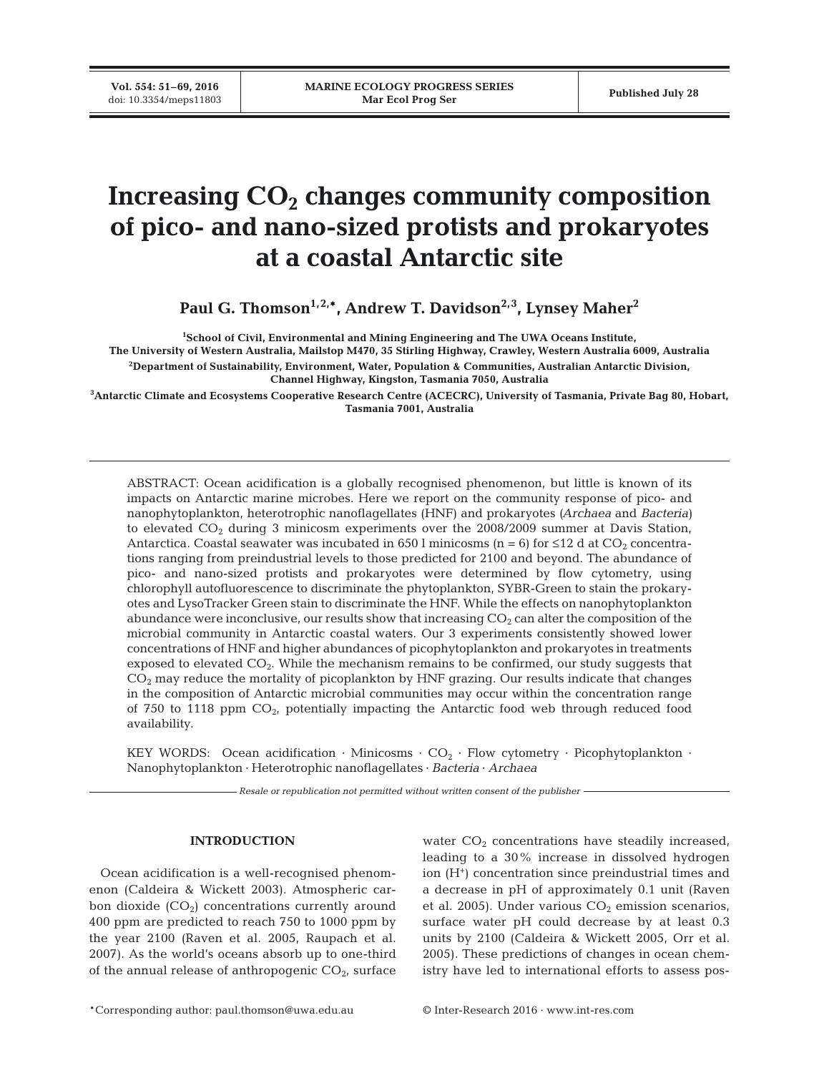**Vol. 554: 51–69, 2016**

# Increasing  $CO<sub>2</sub>$  changes community composition **of pico- and nano-sized protists and prokaryotes at a coastal Antarctic site**

Paul G. Thomson<sup>1,2,\*</sup>, Andrew T. Davidson<sup>2,3</sup>, Lynsey Maher<sup>2</sup>

**1 School of Civil, Environmental and Mining Engineering and The UWA Oceans Institute, The University of Western Australia, Mailstop M470, 35 Stirling Highway, Crawley, Western Australia 6009, Australia 2 Department of Sustainability, Environment, Water, Population & Communities, Australian Antarctic Division, Channel Highway, Kingston, Tasmania 7050, Australia**

**3 Antarctic Climate and Ecosystems Cooperative Research Centre (ACECRC), University of Tasmania, Private Bag 80, Hobart, Tasmania 7001, Australia**

ABSTRACT: Ocean acidification is a globally recognised phenomenon, but little is known of its impacts on Antarctic marine microbes. Here we report on the community response of pico- and nanophytoplankton, heterotrophic nanoflagellates (HNF) and prokaryotes *(Archaea* and *Bacteria)* to elevated  $CO<sub>2</sub>$  during 3 minicosm experiments over the 2008/2009 summer at Davis Station, Antarctica. Coastal seawater was incubated in 650 l minicosms (n = 6) for  $\leq 12$  d at CO<sub>2</sub> concentrations ranging from preindustrial levels to those predicted for 2100 and beyond. The abundance of pico- and nano-sized protists and prokaryotes were determined by flow cytometry, using chlorophyll autofluorescence to discriminate the phytoplankton, SYBR-Green to stain the prokaryotes and LysoTracker Green stain to discriminate the HNF. While the effects on nanophytoplankton abundance were inconclusive, our results show that increasing  $CO<sub>2</sub>$  can alter the composition of the microbial community in Antarctic coastal waters. Our 3 experiments consistently showed lower concentrations of HNF and higher abundances of picophytoplankton and prokaryotes in treatments exposed to elevated  $CO<sub>2</sub>$ . While the mechanism remains to be confirmed, our study suggests that  $CO<sub>2</sub>$  may reduce the mortality of picoplankton by HNF grazing. Our results indicate that changes in the composition of Antarctic microbial communities may occur within the concentration range of 750 to 1118 ppm  $CO<sub>2</sub>$ , potentially impacting the Antarctic food web through reduced food availability.

KEY WORDS: Ocean acidification  $\cdot$  Minicosms  $\cdot$  CO<sub>2</sub>  $\cdot$  Flow cytometry  $\cdot$  Picophytoplankton  $\cdot$ Nanophytoplankton · Heterotrophic nanoflagellates · *Bacteria* · *Archaea*

*Resale or republication not permitted without written consent of the publisher*

## **INTRODUCTION**

Ocean acidification is a well-recognised phenomenon (Caldeira & Wickett 2003). Atmospheric car bon dioxide  $(CO<sub>2</sub>)$  concentrations currently around 400 ppm are predicted to reach 750 to 1000 ppm by the year 2100 (Raven et al. 2005, Raupach et al. 2007). As the world's oceans absorb up to one-third of the annual release of anthropogenic  $CO_{2}$ , surface

water  $CO<sub>2</sub>$  concentrations have steadily increased, leading to a 30% increase in dissolved hydrogen ion  $(H^+)$  concentration since preindustrial times and a de crease in pH of approximately 0.1 unit (Raven et al. 2005). Under various  $CO<sub>2</sub>$  emission scenarios, surface water pH could decrease by at least 0.3 units by 2100 (Caldeira & Wickett 2005, Orr et al. 2005). These predictions of changes in ocean chemistry have led to international efforts to assess pos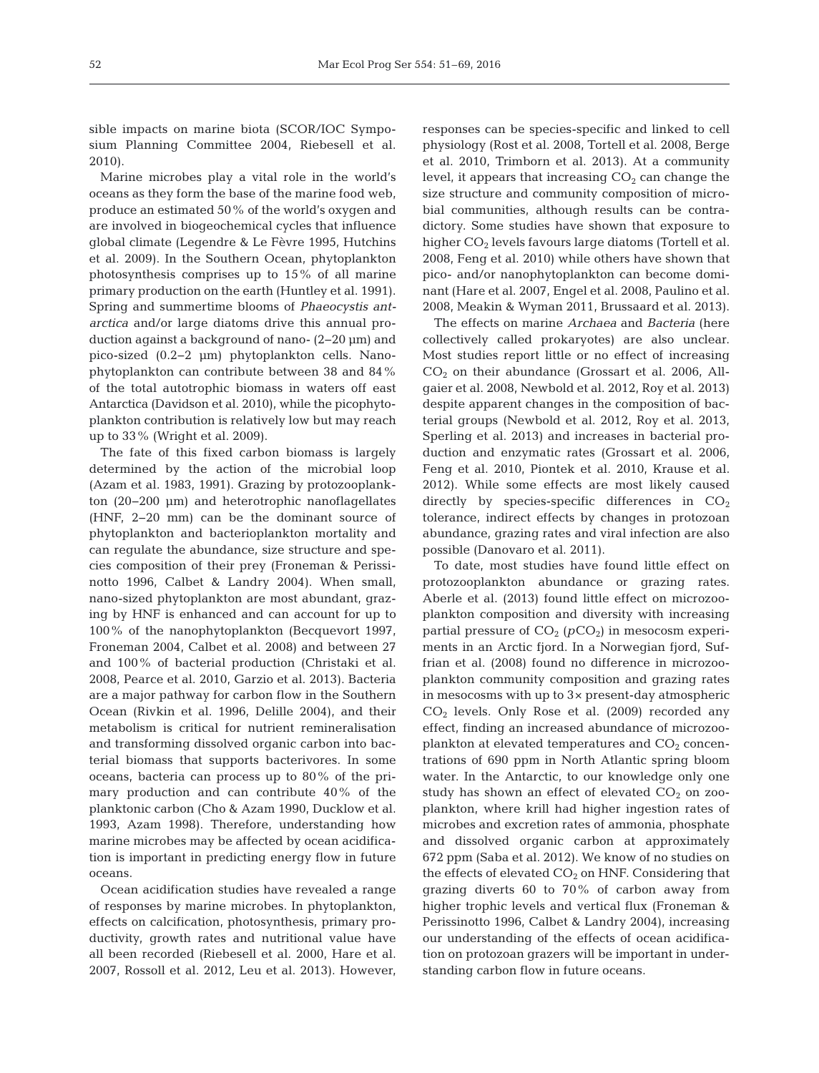sible impacts on marine biota (SCOR/IOC Symposium Planning Committee 2004, Riebesell et al. 2010).

Marine microbes play a vital role in the world's oceans as they form the base of the marine food web, produce an estimated 50% of the world's oxygen and are involved in biogeochemical cycles that influence global climate (Legendre & Le Fèvre 1995, Hutchins et al. 2009). In the Southern Ocean, phytoplankton photosynthesis comprises up to 15% of all marine primary production on the earth (Huntley et al. 1991). Spring and summertime blooms of *Phaeocystis ant arctica* and/or large diatoms drive this annual production against a background of nano- (2−20 µm) and pico-sized (0.2−2 µm) phytoplankton cells. Nano phytoplankton can contribute between 38 and 84% of the total autotrophic biomass in waters off east Antarctica (Davidson et al. 2010), while the picophytoplankton contribution is relatively low but may reach up to 33% (Wright et al. 2009).

The fate of this fixed carbon biomass is largely determined by the action of the microbial loop (Azam et al. 1983, 1991). Grazing by protozooplankton (20−200 µm) and heterotrophic nanoflagellates (HNF, 2−20 mm) can be the dominant source of phytoplankton and bacterioplankton mortality and can regulate the abundance, size structure and species composition of their prey (Froneman & Perissi notto 1996, Calbet & Landry 2004). When small, nano-sized phytoplankton are most abundant, grazing by HNF is enhanced and can account for up to 100% of the nanophytoplankton (Becquevort 1997, Froneman 2004, Calbet et al. 2008) and between 27 and 100% of bacterial production (Christaki et al. 2008, Pearce et al. 2010, Garzio et al. 2013). Bacteria are a major pathway for carbon flow in the Southern Ocean (Rivkin et al. 1996, Delille 2004), and their metabolism is critical for nutrient remineralisation and transforming dissolved organic carbon into bacterial biomass that supports bacterivores. In some oceans, bacteria can process up to 80% of the primary production and can contribute 40% of the planktonic carbon (Cho & Azam 1990, Ducklow et al. 1993, Azam 1998). Therefore, understanding how marine microbes may be affected by ocean acidification is important in predicting energy flow in future oceans.

Ocean acidification studies have revealed a range of responses by marine microbes. In phytoplankton, effects on calcification, photosynthesis, primary productivity, growth rates and nutritional value have all been recorded (Riebesell et al. 2000, Hare et al. 2007, Rossoll et al. 2012, Leu et al. 2013). However, responses can be species-specific and linked to cell physiology (Rost et al. 2008, Tortell et al. 2008, Berge et al. 2010, Trimborn et al. 2013). At a community level, it appears that increasing  $CO<sub>2</sub>$  can change the size structure and community composition of microbial communities, although results can be contradictory. Some studies have shown that exposure to higher  $CO<sub>2</sub>$  levels favours large diatoms (Tortell et al. 2008, Feng et al. 2010) while others have shown that pico- and/or nanophytoplankton can become dominant (Hare et al. 2007, Engel et al. 2008, Paulino et al. 2008, Meakin & Wyman 2011, Brussaard et al. 2013).

The effects on marine *Archaea* and *Bacteria* (here collectively called prokaryotes) are also unclear. Most studies report little or no effect of increasing  $CO<sub>2</sub>$  on their abundance (Grossart et al. 2006, Allgaier et al. 2008, Newbold et al. 2012, Roy et al. 2013) despite apparent changes in the composition of bacterial groups (Newbold et al. 2012, Roy et al. 2013, Sperling et al. 2013) and increases in bacterial production and enzymatic rates (Grossart et al. 2006, Feng et al. 2010, Piontek et al. 2010, Krause et al. 2012). While some effects are most likely caused directly by species-specific differences in  $CO<sub>2</sub>$ tolerance, indirect effects by changes in protozoan abundance, grazing rates and viral infection are also possible (Danovaro et al. 2011).

To date, most studies have found little effect on protozooplankton abundance or grazing rates. Aberle et al. (2013) found little effect on microzooplankton composition and diversity with increasing partial pressure of  $CO<sub>2</sub>$  ( $pCO<sub>2</sub>$ ) in mesocosm experiments in an Arctic fjord. In a Norwegian fjord, Suffrian et al. (2008) found no difference in microzooplankton community composition and grazing rates in mesocosms with up to 3× present-day atmospheric  $CO<sub>2</sub>$  levels. Only Rose et al. (2009) recorded any effect, finding an increased abundance of microzooplankton at elevated temperatures and  $CO<sub>2</sub>$  concentrations of 690 ppm in North Atlantic spring bloom water. In the Antarctic, to our knowledge only one study has shown an effect of elevated  $CO<sub>2</sub>$  on zooplankton, where krill had higher ingestion rates of microbes and excretion rates of ammonia, phosphate and dissolved organic carbon at approximately 672 ppm (Saba et al. 2012). We know of no studies on the effects of elevated  $CO<sub>2</sub>$  on HNF. Considering that grazing diverts 60 to 70% of carbon away from higher trophic levels and vertical flux (Froneman & Perissinotto 1996, Calbet & Landry 2004), increasing our understanding of the effects of ocean acidification on protozoan grazers will be important in understanding carbon flow in future oceans.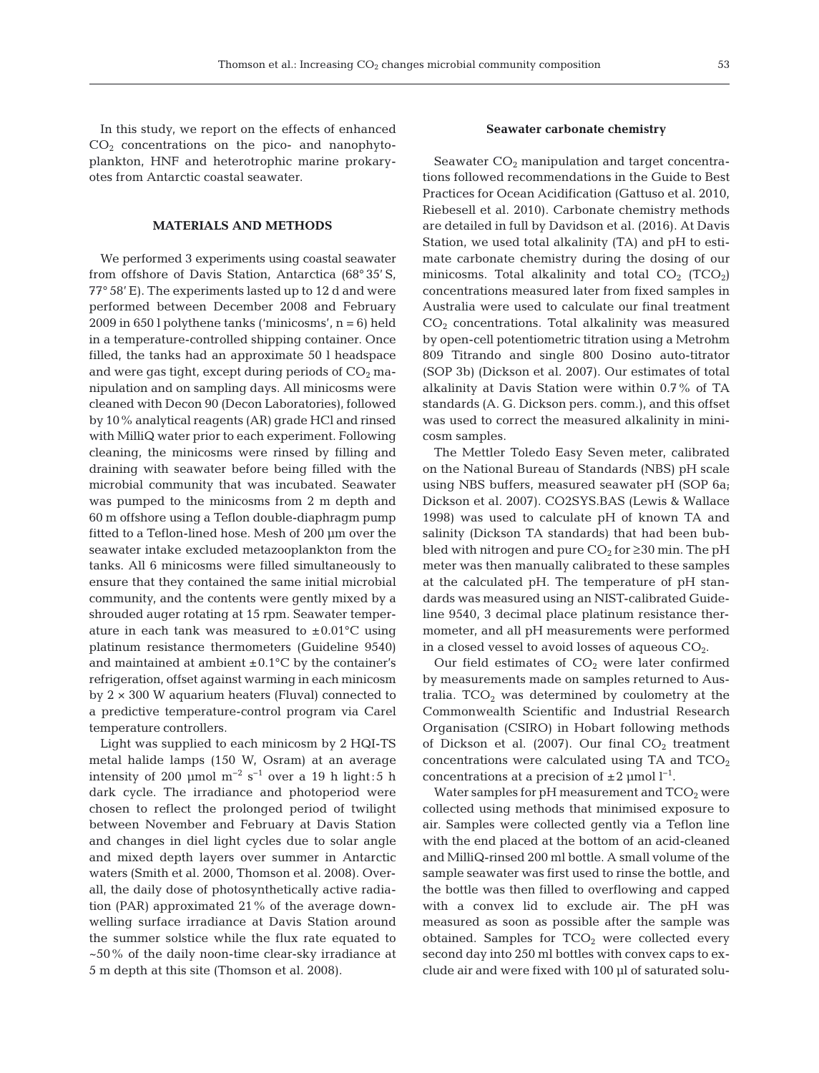In this study, we report on the effects of enhanced  $CO<sub>2</sub>$  concentrations on the pico- and nanophytoplankton, HNF and heterotrophic marine prokaryotes from Antarctic coastal seawater.

# **MATERIALS AND METHODS**

We performed 3 experiments using coastal seawater from offshore of Davis Station, Antarctica (68° 35' S, 77° 58' E). The experiments lasted up to 12 d and were performed between December 2008 and February 2009 in 650 l polythene tanks ('minicosms', n = 6) held in a temperature-controlled shipping container. Once filled, the tanks had an approximate 50 l headspace and were gas tight, except during periods of  $CO<sub>2</sub>$  manipulation and on sampling days. All minicosms were cleaned with Decon 90 (Decon Laboratories), followed by 10% analytical reagents (AR) grade HCl and rinsed with MilliQ water prior to each experiment. Following cleaning, the minicosms were rinsed by filling and draining with seawater before being filled with the microbial community that was incubated. Seawater was pumped to the minicosms from 2 m depth and 60 m offshore using a Teflon double-diaphragm pump fitted to a Teflon-lined hose. Mesh of 200 µm over the seawater intake excluded metazooplankton from the tanks. All 6 minicosms were filled simultaneously to ensure that they contained the same initial microbial community, and the contents were gently mixed by a shrouded auger rotating at 15 rpm. Seawater temperature in each tank was measured to  $\pm 0.01^{\circ}$ C using platinum resistance thermometers (Guideline 9540) and maintained at ambient  $\pm 0.1$ °C by the container's refrigeration, offset against warming in each minicosm by  $2 \times 300$  W aquarium heaters (Fluval) connected to a predictive temperature-control program via Carel temperature controllers.

Light was supplied to each minicosm by 2 HQI-TS metal halide lamps (150 W, Osram) at an average intensity of 200 µmol  $m^{-2}$  s<sup>-1</sup> over a 19 h light:5 h dark cycle. The irradiance and photoperiod were chosen to reflect the prolonged period of twilight between November and February at Davis Station and changes in diel light cycles due to solar angle and mixed depth layers over summer in Antarctic waters (Smith et al. 2000, Thomson et al. 2008). Overall, the daily dose of photosynthetically active radiation (PAR) approximated 21% of the average downwelling surface irradiance at Davis Station around the summer solstice while the flux rate equated to ~50% of the daily noon-time clear-sky irradiance at 5 m depth at this site (Thomson et al. 2008).

## **Seawater carbonate chemistry**

Seawater  $CO<sub>2</sub>$  manipulation and target concentrations followed recommendations in the Guide to Best Practices for Ocean Acidification (Gattuso et al. 2010, Riebesell et al. 2010). Carbonate chemistry methods are detailed in full by Davidson et al. (2016). At Davis Station, we used total alkalinity (TA) and pH to estimate carbonate chemistry during the dosing of our minicosms. Total alkalinity and total  $CO<sub>2</sub>$  (TCO<sub>2</sub>) concentrations measured later from fixed samples in Australia were used to calculate our final treatment CO2 concentrations. Total alkalinity was measured by open-cell potentiometric titration using a Metrohm 809 Titrando and single 800 Dosino auto-titrator (SOP 3b) (Dickson et al. 2007). Our estimates of total alkalinity at Davis Station were within 0.7% of TA standards (A. G. Dickson pers. comm.), and this offset was used to correct the measured alkalinity in minicosm samples.

The Mettler Toledo Easy Seven meter, calibrated on the National Bureau of Standards (NBS) pH scale using NBS buffers, measured seawater pH (SOP 6a; Dickson et al. 2007). CO2SYS.BAS (Lewis & Wallace 1998) was used to calculate pH of known TA and salinity (Dickson TA standards) that had been bubbled with nitrogen and pure  $CO<sub>2</sub>$  for  $\geq$  30 min. The pH meter was then manually calibrated to these samples at the calculated pH. The temperature of pH standards was measured using an NIST-calibrated Guide line 9540, 3 decimal place platinum resistance thermometer, and all pH measurements were performed in a closed vessel to avoid losses of aqueous  $CO<sub>2</sub>$ .

Our field estimates of  $CO<sub>2</sub>$  were later confirmed by measurements made on samples returned to Australia.  $TCO<sub>2</sub>$  was determined by coulometry at the Commonwealth Scientific and Industrial Research Organisation (CSIRO) in Hobart following methods of Dickson et al. (2007). Our final  $CO<sub>2</sub>$  treatment concentrations were calculated using TA and  $TCO<sub>2</sub>$ concentrations at a precision of  $\pm 2$  µmol  $l^{-1}$ .

Water samples for pH measurement and  $TCO<sub>2</sub>$  were collected using methods that minimised exposure to air. Samples were collected gently via a Teflon line with the end placed at the bottom of an acid-cleaned and MilliQ-rinsed 200 ml bottle. A small volume of the sample seawater was first used to rinse the bottle, and the bottle was then filled to overflowing and capped with a convex lid to exclude air. The pH was measured as soon as possible after the sample was obtained. Samples for  $TCO<sub>2</sub>$  were collected every second day into 250 ml bottles with convex caps to exclude air and were fixed with 100 µl of saturated solu-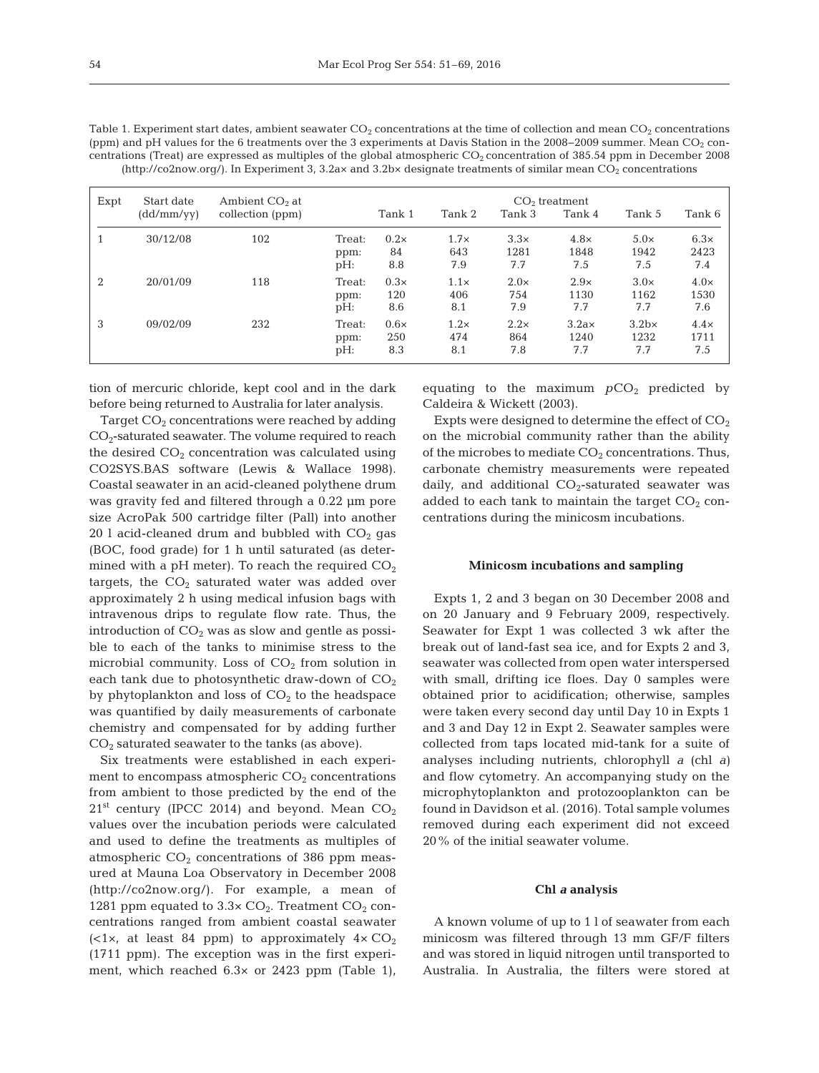| Table 1. Experiment start dates, ambient seawater $CO_2$ concentrations at the time of collection and mean $CO_2$ concentrations    |
|-------------------------------------------------------------------------------------------------------------------------------------|
| (ppm) and pH values for the 6 treatments over the 3 experiments at Davis Station in the 2008–2009 summer. Mean CO <sub>2</sub> con- |
| centrations (Treat) are expressed as multiples of the global atmospheric $CO2$ concentration of 385.54 ppm in December 2008         |
| $(\text{http://co2now.org/}).$ In Experiment 3, 3.2ax and 3.2bx designate treatments of similar mean $CO2$ concentrations           |

| Expt | Start date | Ambient $CO2$ at | $CO2$ treatment          |                           |                           |                            |                              |                              |                            |
|------|------------|------------------|--------------------------|---------------------------|---------------------------|----------------------------|------------------------------|------------------------------|----------------------------|
|      | (dd/mm/yy) | collection (ppm) |                          | Tank 1                    | Tank 2                    | Tank 3                     | Tank 4                       | Tank 5                       | Tank 6                     |
|      | 30/12/08   | 102              | Treat:<br>ppm:<br>$pH$ : | $0.2\times$<br>84<br>8.8  | $1.7\times$<br>643<br>7.9 | $3.3\times$<br>1281<br>7.7 | $4.8\times$<br>1848<br>7.5   | $5.0\times$<br>1942<br>7.5   | $6.3\times$<br>2423<br>7.4 |
| 2    | 20/01/09   | 118              | Treat:<br>ppm:<br>pH:    | $0.3\times$<br>120<br>8.6 | $1.1\times$<br>406<br>8.1 | $2.0\times$<br>754<br>7.9  | $2.9\times$<br>1130<br>7.7   | $3.0\times$<br>1162<br>7.7   | $4.0\times$<br>1530<br>7.6 |
| 3    | 09/02/09   | 232              | Treat:<br>ppm:<br>$pH$ : | $0.6\times$<br>250<br>8.3 | $1.2\times$<br>474<br>8.1 | $2.2\times$<br>864<br>7.8  | $3.2a \times$<br>1240<br>7.7 | $3.2b \times$<br>1232<br>7.7 | $4.4\times$<br>1711<br>7.5 |

tion of mercuric chloride, kept cool and in the dark before being returned to Australia for later analysis.

Target  $CO<sub>2</sub>$  concentrations were reached by adding  $CO<sub>2</sub>$ -saturated seawater. The volume required to reach the desired  $CO<sub>2</sub>$  concentration was calculated using CO2SYS.BAS software (Lewis & Wallace 1998). Coastal seawater in an acid-cleaned polythene drum was gravity fed and filtered through a 0.22 µm pore size AcroPak 500 cartridge filter (Pall) into another 20 l acid-cleaned drum and bubbled with  $CO<sub>2</sub>$  gas (BOC, food grade) for 1 h until saturated (as determined with a pH meter). To reach the required  $CO<sub>2</sub>$ targets, the  $CO<sub>2</sub>$  saturated water was added over approximately 2 h using medical infusion bags with intravenous drips to regulate flow rate. Thus, the introduction of  $CO<sub>2</sub>$  was as slow and gentle as possible to each of the tanks to minimise stress to the microbial community. Loss of  $CO<sub>2</sub>$  from solution in each tank due to photosynthetic draw-down of  $CO<sub>2</sub>$ by phytoplankton and loss of  $CO<sub>2</sub>$  to the headspace was quantified by daily measurements of carbonate chemistry and compensated for by adding further  $CO<sub>2</sub>$  saturated seawater to the tanks (as above).

Six treatments were established in each experiment to encompass atmospheric  $CO<sub>2</sub>$  concentrations from ambient to those predicted by the end of the  $21<sup>st</sup>$  century (IPCC 2014) and beyond. Mean  $CO<sub>2</sub>$ values over the incubation periods were calculated and used to define the treatments as multiples of atmospheric  $CO<sub>2</sub>$  concentrations of 386 ppm measured at Mauna Loa Observatory in December 2008 (http://co2now.org/). For example, a mean of 1281 ppm equated to  $3.3 \times CO_2$ . Treatment  $CO_2$  concentrations ranged from ambient coastal seawater (<1 $\times$ , at least 84 ppm) to approximately  $4 \times CO<sub>2</sub>$ (1711 ppm). The exception was in the first experiment, which reached 6.3× or 2423 ppm (Table 1),

equating to the maximum  $pCO<sub>2</sub>$  predicted by Caldeira & Wickett (2003).

Expts were designed to determine the effect of  $CO<sub>2</sub>$ on the microbial community rather than the ability of the microbes to mediate  $CO<sub>2</sub>$  concentrations. Thus, carbonate chemistry measurements were repeated daily, and additional  $CO<sub>2</sub>$ -saturated seawater was added to each tank to maintain the target  $CO<sub>2</sub>$  concentrations during the minicosm incubations.

## **Minicosm incubations and sampling**

Expts 1, 2 and 3 began on 30 December 2008 and on 20 January and 9 February 2009, respectively. Seawater for Expt 1 was collected 3 wk after the break out of land-fast sea ice, and for Expts 2 and 3, seawater was collected from open water interspersed with small, drifting ice floes. Day 0 samples were obtained prior to acidification; otherwise, samples were taken every second day until Day 10 in Expts 1 and 3 and Day 12 in Expt 2. Seawater samples were collected from taps located mid-tank for a suite of analyses including nutrients, chlorophyll *a* (chl *a)* and flow cytometry. An accompanying study on the microphytoplankton and protozooplankton can be found in Davidson et al. (2016). Total sample volumes removed during each experiment did not exceed 20% of the initial seawater volume.

## **Chl** *a* **analysis**

A known volume of up to 1 l of seawater from each minicosm was filtered through 13 mm GF/F filters and was stored in liquid nitrogen until transported to Australia. In Australia, the filters were stored at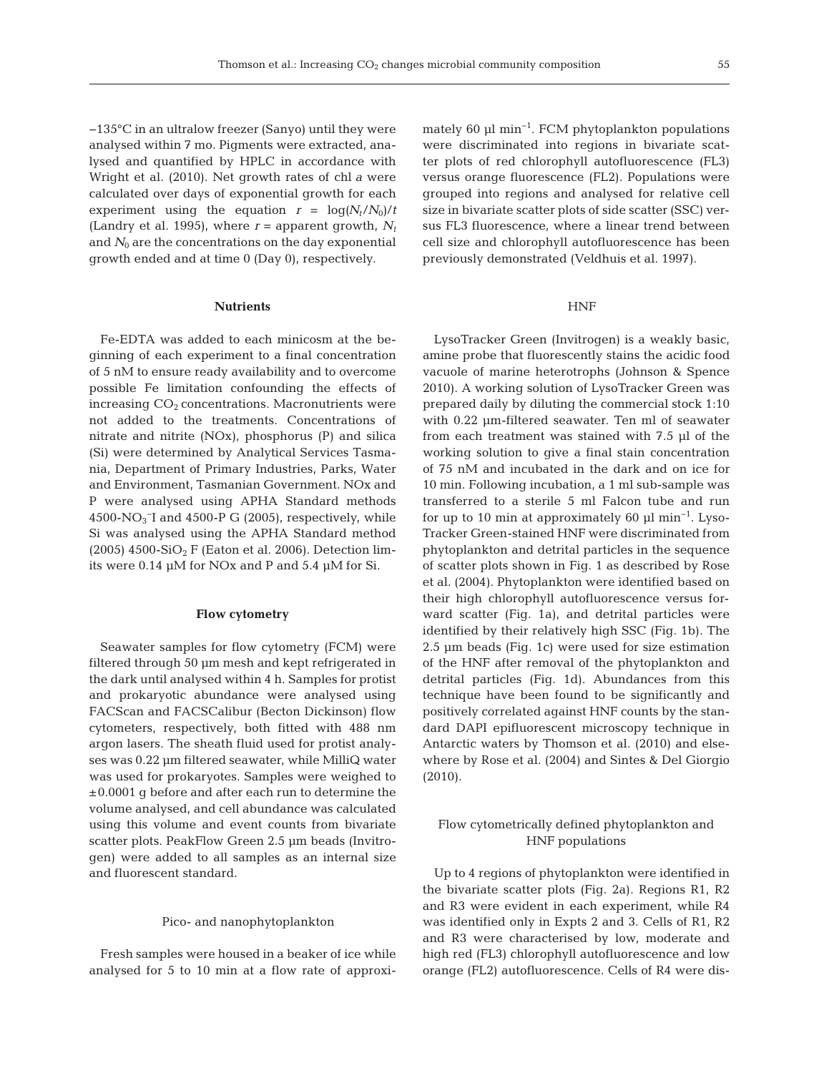−135°C in an ultralow freezer (Sanyo) until they were analysed within 7 mo. Pigments were extracted, analysed and quantified by HPLC in accordance with Wright et al. (2010). Net growth rates of chl *a* were calculated over days of exponential growth for each experiment using the equation  $r = \log(N_t/N_0)/t$ (Landry et al. 1995), where  $r =$  apparent growth,  $N_t$ and  $N_0$  are the concentrations on the day exponential growth ended and at time 0 (Day 0), respectively.

## **Nutrients**

Fe-EDTA was added to each minicosm at the be ginning of each experiment to a final concentration of 5 nM to ensure ready availability and to overcome possible Fe limitation confounding the effects of increasing  $CO<sub>2</sub>$  concentrations. Macronutrients were not added to the treatments. Concentrations of nitrate and nitrite (NOx), phosphorus (P) and silica (Si) were determined by Analytical Services Tasmania, Department of Primary Industries, Parks, Water and Environment, Tasmanian Government. NOx and P were analysed using APHA Standard methods 4500-NO<sub>3</sub><sup>-</sup>I and 4500-P G (2005), respectively, while Si was analysed using the APHA Standard method (2005) 4500-SiO<sub>2</sub> F (Eaton et al. 2006). Detection limits were 0.14 µM for NOx and P and 5.4 µM for Si.

## **Flow cytometry**

Seawater samples for flow cytometry (FCM) were filtered through 50 µm mesh and kept refrigerated in the dark until analysed within 4 h. Samples for protist and prokaryotic abundance were analysed using FACScan and FACSCalibur (Becton Dickinson) flow cytometers, respectively, both fitted with 488 nm argon lasers. The sheath fluid used for protist analyses was 0.22 µm filtered seawater, while MilliQ water was used for prokaryotes. Samples were weighed to ±0.0001 g before and after each run to determine the volume analysed, and cell abundance was calculated using this volume and event counts from bivariate scatter plots. PeakFlow Green 2.5 µm beads (Invitrogen) were added to all samples as an internal size and fluorescent standard.

#### Pico- and nanophytoplankton

Fresh samples were housed in a beaker of ice while analysed for 5 to 10 min at a flow rate of approximately 60 µl min−1. FCM phytoplankton populations were discriminated into regions in bivariate scatter plots of red chlorophyll autofluorescence (FL3) versus orange fluorescence (FL2). Populations were grouped into regions and analysed for relative cell size in bivariate scatter plots of side scatter (SSC) versus FL3 fluorescence, where a linear trend between cell size and chlorophyll autofluorescence has been previously demonstrated (Veldhuis et al. 1997).

#### HNF

LysoTracker Green (Invitrogen) is a weakly basic, amine probe that fluorescently stains the acidic food vacuole of marine heterotrophs (Johnson & Spence 2010). A working solution of LysoTracker Green was prepared daily by diluting the commercial stock 1:10 with 0.22 µm-filtered seawater. Ten ml of seawater from each treatment was stained with 7.5 µl of the working solution to give a final stain concentration of 75 nM and incubated in the dark and on ice for 10 min. Following incubation, a 1 ml sub-sample was transferred to a sterile 5 ml Falcon tube and run for up to 10 min at approximately 60 µl min−1. Lyso-Tracker Green-stained HNF were discriminated from phytoplankton and detrital particles in the sequence of scatter plots shown in Fig. 1 as described by Rose et al. (2004). Phytoplankton were identified based on their high chlorophyll autofluorescence versus forward scatter (Fig. 1a), and detrital particles were identified by their relatively high SSC (Fig. 1b). The 2.5 µm beads (Fig. 1c) were used for size estimation of the HNF after removal of the phytoplankton and detrital particles (Fig. 1d). Abundances from this technique have been found to be significantly and positively correlated against HNF counts by the standard DAPI epifluorescent microscopy technique in Antarctic waters by Thomson et al. (2010) and elsewhere by Rose et al. (2004) and Sintes & Del Giorgio (2010).

# Flow cytometrically defined phytoplankton and HNF populations

Up to 4 regions of phytoplankton were identified in the bivariate scatter plots (Fig. 2a). Regions R1, R2 and R3 were evident in each experiment, while R4 was identified only in Expts 2 and 3. Cells of R1, R2 and R3 were characterised by low, moderate and high red (FL3) chlorophyll autofluorescence and low orange (FL2) autofluorescence. Cells of R4 were dis-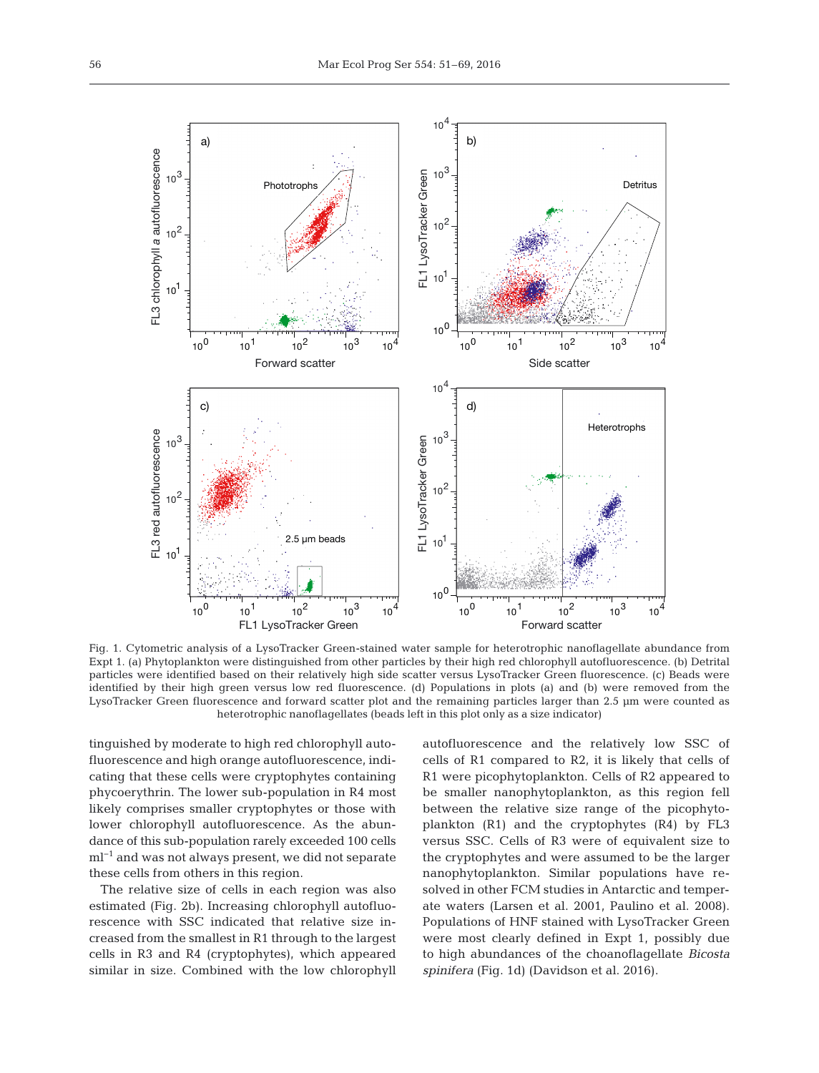

Fig. 1. Cytometric analysis of a LysoTracker Green-stained water sample for heterotrophic nanoflagellate abundance from Expt 1. (a) Phytoplankton were distinguished from other particles by their high red chlorophyll autofluorescence. (b) Detrital particles were identified based on their relatively high side scatter versus LysoTracker Green fluorescence. (c) Beads were identified by their high green versus low red fluorescence. (d) Populations in plots (a) and (b) were removed from the LysoTracker Green fluorescence and forward scatter plot and the remaining particles larger than 2.5 µm were counted as heterotrophic nanoflagellates (beads left in this plot only as a size indicator)

tinguished by moderate to high red chlorophyll autofluorescence and high orange autofluorescence, indicating that these cells were cryptophytes containing phycoerythrin. The lower sub-population in R4 most likely comprises smaller cryptophytes or those with lower chlorophyll autofluorescence. As the abundance of this sub-population rarely exceeded 100 cells ml−1 and was not always present, we did not separate these cells from others in this region.

The relative size of cells in each region was also estimated (Fig. 2b). Increasing chlorophyll autofluorescence with SSC indicated that relative size in creased from the smallest in R1 through to the largest cells in R3 and R4 (cryptophytes), which appeared similar in size. Combined with the low chlorophyll autofluorescence and the relatively low SSC of cells of R1 compared to R2, it is likely that cells of R1 were picophytoplankton. Cells of R2 appeared to be smaller nanophytoplankton, as this region fell between the relative size range of the picophytoplankton (R1) and the cryptophytes (R4) by FL3 versus SSC. Cells of R3 were of equivalent size to the cryptophytes and were assumed to be the larger nanophytoplankton. Similar populations have resolved in other FCM studies in Antarctic and temperate waters (Larsen et al. 2001, Paulino et al. 2008). Populations of HNF stained with LysoTracker Green were most clearly defined in Expt 1, possibly due to high abundances of the choanoflagellate *Bicosta spinifera* (Fig. 1d) (Davidson et al. 2016).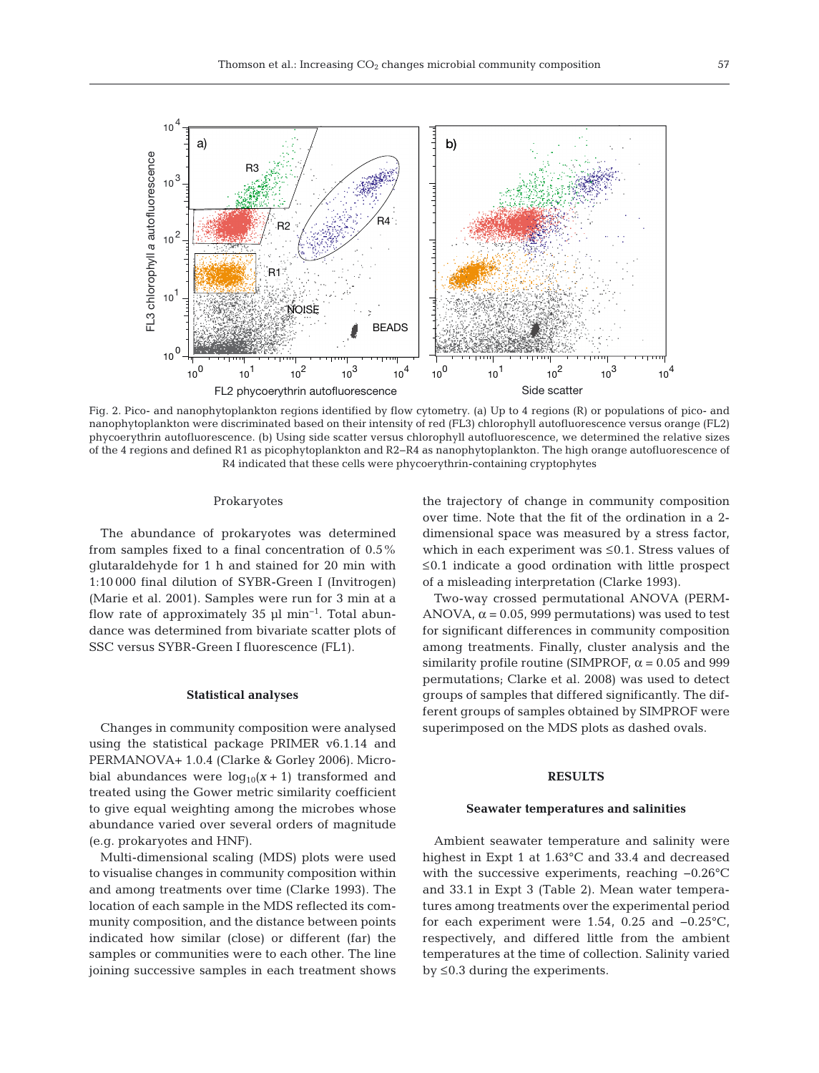

Fig. 2. Pico- and nanophytoplankton regions identified by flow cytometry. (a) Up to 4 regions (R) or populations of pico- and nanophytoplankton were discriminated based on their intensity of red (FL3) chlorophyll autofluorescence versus orange (FL2) phycoerythrin autofluorescence. (b) Using side scatter versus chlorophyll autofluorescence, we determined the relative sizes of the 4 regions and defined R1 as picophytoplankton and R2−R4 as nanophytoplankton. The high orange autofluorescence of R4 indicated that these cells were phycoerythrin-containing cryptophytes

#### Prokaryotes

The abundance of prokaryotes was determined from samples fixed to a final concentration of 0.5% glutaraldehyde for 1 h and stained for 20 min with 1:10 000 final dilution of SYBR-Green I (Invitrogen) (Marie et al. 2001). Samples were run for 3 min at a flow rate of approximately 35 µl min−1. Total abundance was determined from bivariate scatter plots of SSC versus SYBR-Green I fluorescence (FL1).

#### **Statistical analyses**

Changes in community composition were analysed using the statistical package PRIMER v6.1.14 and PERMANOVA+ 1.0.4 (Clarke & Gorley 2006). Microbial abundances were  $log_{10}(x + 1)$  transformed and treated using the Gower metric similarity coefficient to give equal weighting among the microbes whose abundance varied over several orders of magnitude (e.g. prokaryotes and HNF).

Multi-dimensional scaling (MDS) plots were used to visualise changes in community composition within and among treatments over time (Clarke 1993). The location of each sample in the MDS reflected its community composition, and the distance between points indicated how similar (close) or different (far) the samples or communities were to each other. The line joining successive samples in each treatment shows the trajectory of change in community composition over time. Note that the fit of the ordination in a 2 dimensional space was measured by a stress factor, which in each experiment was ≤0.1. Stress values of ≤0.1 indicate a good ordination with little prospect of a misleading interpretation (Clarke 1993).

Two-way crossed permutational ANOVA (PERM-ANOVA,  $\alpha$  = 0.05, 999 permutations) was used to test for significant differences in community composition among treatments. Finally, cluster analysis and the similarity profile routine (SIMPROF,  $\alpha$  = 0.05 and 999 permutations; Clarke et al. 2008) was used to detect groups of samples that differed significantly. The different groups of samples obtained by SIMPROF were superimposed on the MDS plots as dashed ovals.

## **RESULTS**

#### **Seawater temperatures and salinities**

Ambient seawater temperature and salinity were highest in Expt 1 at 1.63°C and 33.4 and decreased with the successive experiments, reaching −0.26°C and 33.1 in Expt 3 (Table 2). Mean water temperatures among treatments over the experimental period for each experiment were 1.54, 0.25 and −0.25°C, respectively, and differed little from the ambient temperatures at the time of collection. Salinity varied by  $\leq$ 0.3 during the experiments.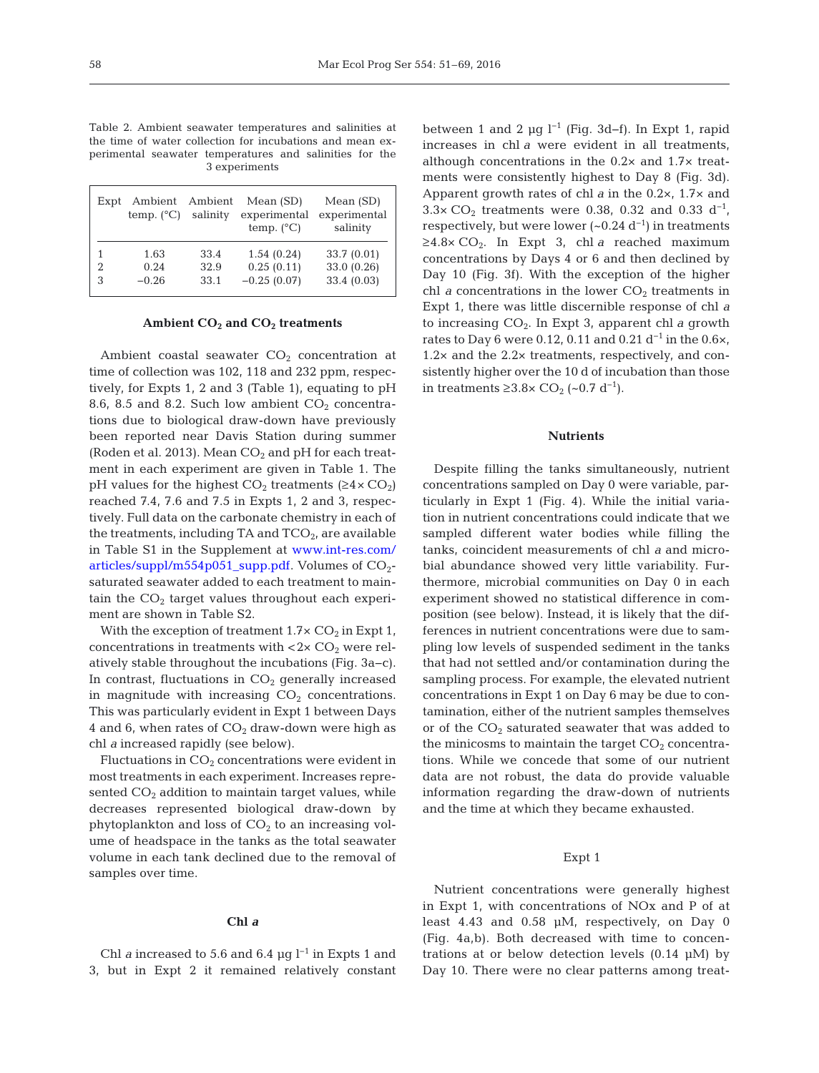Table 2. Ambient seawater temperatures and salinities at the time of water collection for incubations and mean experimental seawater temperatures and salinities for the 3 experiments

| Expt | Ambient<br>temp. $(^{\circ}C)$ | Ambient<br>salinity | Mean (SD)<br>experimental<br>temp. $(^{\circ}C)$ | Mean $(SD)$<br>experimental<br>salinity |
|------|--------------------------------|---------------------|--------------------------------------------------|-----------------------------------------|
| 1    | 1.63                           | 33.4                | 1.54(0.24)                                       | 33.7(0.01)                              |
| 2    | 0.24                           | 32.9                | 0.25(0.11)                                       | 33.0 (0.26)                             |
| 3    | $-0.26$                        | 33.1                | $-0.25(0.07)$                                    | 33.4 (0.03)                             |

#### **Ambient CO2 and CO2 treatments**

Ambient coastal seawater  $CO<sub>2</sub>$  concentration at time of collection was 102, 118 and 232 ppm, respectively, for Expts 1, 2 and 3 (Table 1), equating to pH 8.6, 8.5 and 8.2. Such low ambient  $CO<sub>2</sub>$  concentrations due to biological draw-down have previously been reported near Davis Station during summer (Roden et al. 2013). Mean  $CO<sub>2</sub>$  and pH for each treatment in each experiment are given in Table 1. The pH values for the highest  $CO_2$  treatments ( $\geq 4 \times CO_2$ ) reached 7.4, 7.6 and 7.5 in Expts 1, 2 and 3, respectively. Full data on the carbonate chemistry in each of the treatments, including TA and  $TCO<sub>2</sub>$ , are available in Table S1 in the Supplement at [www.int-res.com/](http://www.int-res.com/articles/suppl/m554p051_supp.pdf) articles/suppl/m554p051\_supp.pdf. Volumes of  $CO<sub>2</sub>$ saturated seawater added to each treatment to maintain the  $CO<sub>2</sub>$  target values throughout each experiment are shown in Table S2.

With the exception of treatment  $1.7 \times CO<sub>2</sub>$  in Expt 1, concentrations in treatments with  $< 2 \times CO_2$  were relatively stable throughout the incubations (Fig. 3a−c). In contrast, fluctuations in  $CO<sub>2</sub>$  generally increased in magnitude with increasing  $CO<sub>2</sub>$  concentrations. This was particularly evident in Expt 1 between Days 4 and 6, when rates of  $CO<sub>2</sub>$  draw-down were high as chl *a* increased rapidly (see below).

Fluctuations in  $CO<sub>2</sub>$  concentrations were evident in most treatments in each experiment. Increases represented CO<sub>2</sub> addition to maintain target values, while decreases represented biological draw-down by phytoplankton and loss of  $CO<sub>2</sub>$  to an increasing volume of headspace in the tanks as the total seawater volume in each tank declined due to the removal of samples over time.

#### **Chl** *a*

Chl *a* increased to 5.6 and 6.4 µg  $l^{-1}$  in Expts 1 and 3, but in Expt 2 it remained relatively constant

between 1 and 2 µg  $l^{-1}$  (Fig. 3d–f). In Expt 1, rapid increases in chl *a* were evident in all treatments, although concentrations in the 0.2× and 1.7× treatments were consistently highest to Day 8 (Fig. 3d). Apparent growth rates of chl *a* in the 0.2×, 1.7× and  $3.3 \times CO_2$  treatments were 0.38, 0.32 and 0.33 d<sup>-1</sup>, respectively, but were lower  $({\sim}0.24\text{ d}^{-1})$  in treatments  $\geq$ 4.8× CO<sub>2</sub>. In Expt 3, chl *a* reached maximum concentrations by Days 4 or 6 and then declined by Day 10 (Fig. 3f). With the exception of the higher chl *a* concentrations in the lower  $CO<sub>2</sub>$  treatments in Expt 1, there was little discernible response of chl *a* to increasing CO2. In Expt 3, apparent chl *a* growth rates to Day 6 were 0.12, 0.11 and 0.21 d<sup>-1</sup> in the 0.6×, 1.2× and the 2.2× treatments, respectively, and consistently higher over the 10 d of incubation than those in treatments ≥3.8× CO<sub>2</sub> (~0.7 d<sup>-1</sup>).

## **Nutrients**

Despite filling the tanks simultaneously, nutrient concentrations sampled on Day 0 were variable, particularly in Expt 1 (Fig. 4). While the initial varia tion in nutrient concentrations could indicate that we sampled different water bodies while filling the tanks, coincident measurements of chl *a* and microbial abundance showed very little variability. Furthermore, microbial communities on Day 0 in each experiment showed no statistical difference in composition (see below). Instead, it is likely that the differences in nutrient concentrations were due to sampling low levels of suspended sediment in the tanks that had not settled and/or contamination during the sampling process. For example, the elevated nutrient concentrations in Expt 1 on Day 6 may be due to contamination, either of the nutrient samples themselves or of the  $CO<sub>2</sub>$  saturated seawater that was added to the minicosms to maintain the target  $CO<sub>2</sub>$  concentrations. While we concede that some of our nutrient data are not robust, the data do provide valuable information regarding the draw-down of nutrients and the time at which they became exhausted.

## Expt 1

Nutrient concentrations were generally highest in Expt 1, with concentrations of NOx and P of at least 4.43 and 0.58 µM, respectively, on Day 0 (Fig. 4a,b). Both decreased with time to concen trations at or below detection levels  $(0.14 \mu M)$  by Day 10. There were no clear patterns among treat-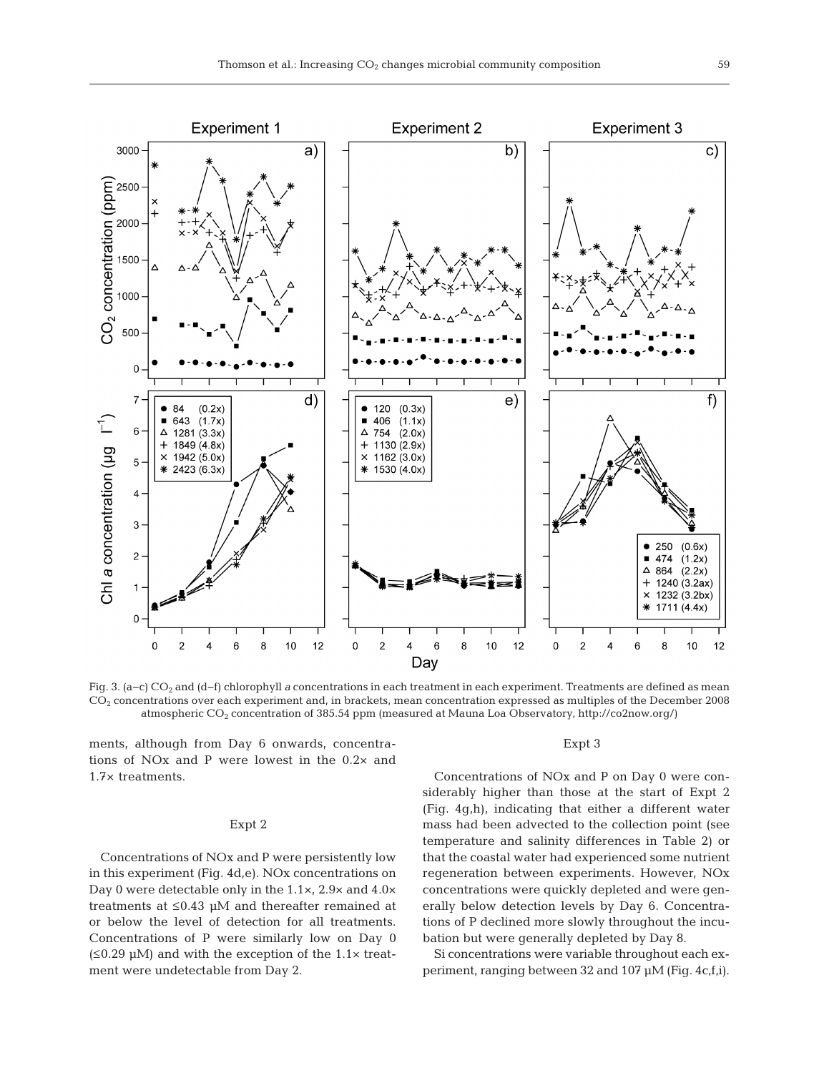

Fig. 3. (a−c) CO2 and (d−f) chlorophyll *a* concentrations in each treatment in each experiment. Treatments are defined as mean  $CO<sub>2</sub>$  concentrations over each experiment and, in brackets, mean concentration expressed as multiples of the December 2008 atmospheric CO2 concentration of 385.54 ppm (measured at Mauna Loa Observatory, http://co2now.org/)

ments, although from Day 6 onwards, concentrations of NOx and P were lowest in the 0.2× and 1.7× treatments.

## Expt 2

Concentrations of NOx and P were persistently low in this experiment (Fig. 4d,e). NOx concentrations on Day 0 were detectable only in the 1.1×, 2.9× and 4.0× treatments at ≤0.43 µM and thereafter remained at or below the level of detection for all treatments. Concentrations of P were similarly low on Day 0  $(\leq 0.29 \mu M)$  and with the exception of the 1.1× treatment were undetectable from Day 2.

#### Expt 3

Concentrations of NOx and P on Day 0 were considerably higher than those at the start of Expt 2 (Fig. 4g,h), indicating that either a different water mass had been advected to the collection point (see temperature and salinity differences in Table 2) or that the coastal water had experienced some nutrient regeneration between experiments. However, NOx concentrations were quickly depleted and were generally below detection levels by Day 6. Concentrations of P declined more slowly throughout the incubation but were generally depleted by Day 8.

Si concentrations were variable throughout each ex periment, ranging between 32 and 107  $\mu$ M (Fig. 4c,f,i).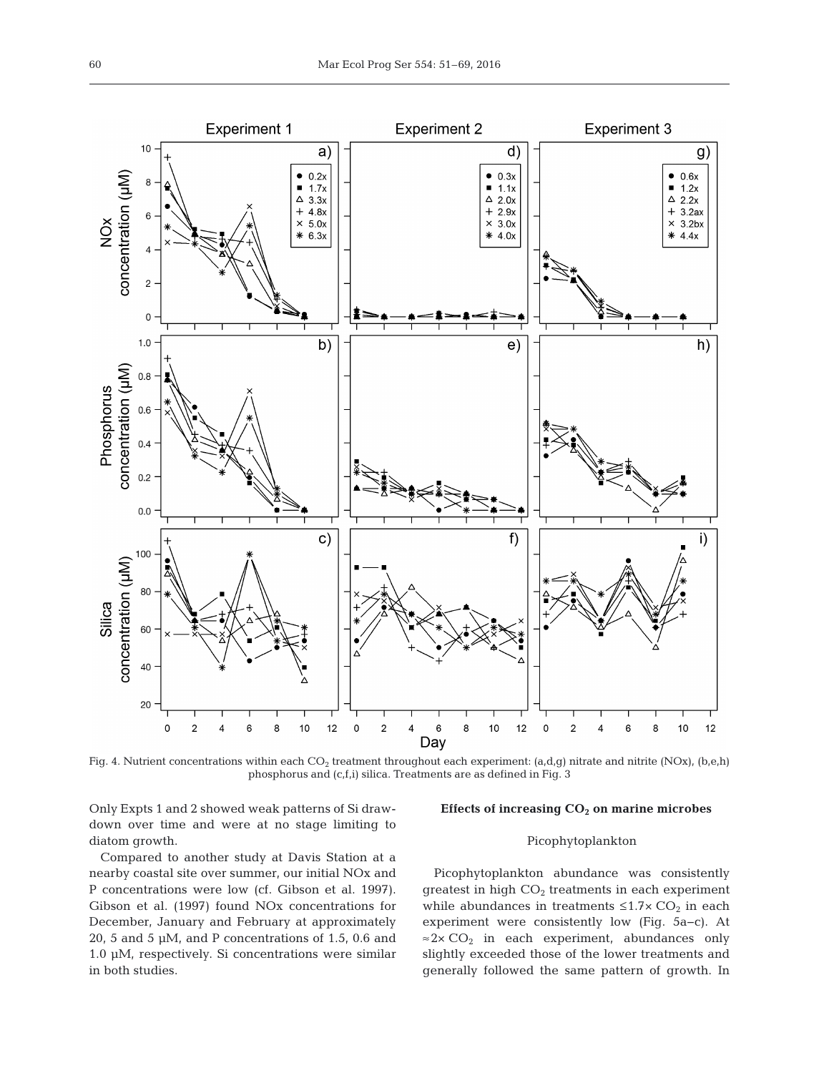

Fig. 4. Nutrient concentrations within each CO<sub>2</sub> treatment throughout each experiment: (a,d,g) nitrate and nitrite (NOx), (b,e,h) phosphorus and (c,f,i) silica. Treatments are as defined in Fig. 3

Only Expts 1 and 2 showed weak patterns of Si drawdown over time and were at no stage limiting to diatom growth.

#### Effects of increasing CO<sub>2</sub> on marine microbes

## Picophytoplankton

Compared to another study at Davis Station at a nearby coastal site over summer, our initial NOx and P concentrations were low (cf. Gibson et al. 1997). Gibson et al. (1997) found NOx concentrations for December, January and February at approximately 20, 5 and 5 µM, and P concentrations of 1.5, 0.6 and 1.0 µM, respectively. Si concentrations were similar in both studies.

Picophytoplankton abundance was consistently greatest in high  $CO<sub>2</sub>$  treatments in each experiment while abundances in treatments  $\leq 1.7 \times CO_2$  in each experiment were consistently low (Fig. 5a−c). At  $\approx$  2× CO<sub>2</sub> in each experiment, abundances only slightly exceeded those of the lower treatments and generally followed the same pattern of growth. In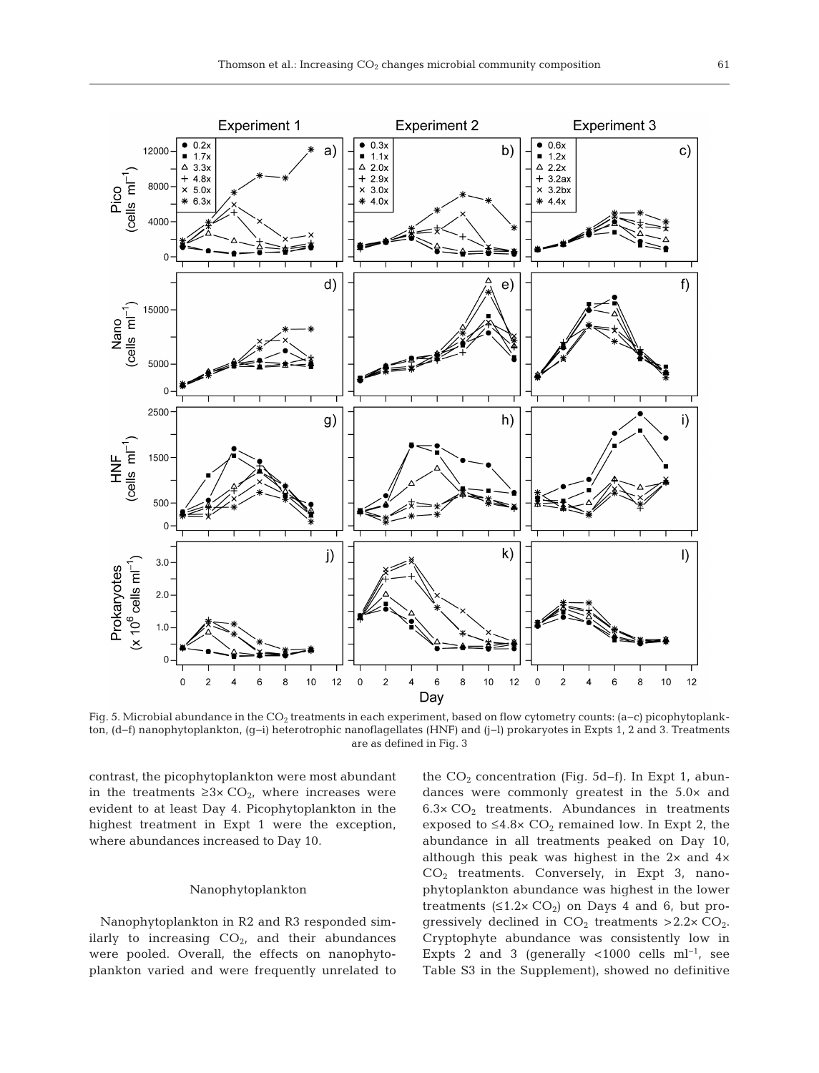

Fig. 5. Microbial abundance in the CO<sub>2</sub> treatments in each experiment, based on flow cytometry counts: (a−c) picophytoplankton, (d−f) nanophytoplankton, (g−i) heterotrophic nanoflagellates (HNF) and (j−l) prokaryotes in Expts 1, 2 and 3. Treatments are as defined in Fig. 3

contrast, the picophytoplankton were most abundant in the treatments ≥3×  $CO<sub>2</sub>$ , where increases were evident to at least Day 4. Picophytoplankton in the highest treatment in Expt 1 were the exception, where abundances increased to Day 10.

## Nanophytoplankton

Nanophytoplankton in R2 and R3 responded similarly to increasing  $CO<sub>2</sub>$ , and their abundances were pooled. Overall, the effects on nanophytoplankton varied and were frequently unrelated to the  $CO_2$  concentration (Fig. 5d–f). In Expt 1, abundances were commonly greatest in the 5.0× and  $6.3\times$  CO<sub>2</sub> treatments. Abundances in treatments exposed to  $\leq 4.8 \times \text{CO}_2$  remained low. In Expt 2, the abundance in all treatments peaked on Day 10, although this peak was highest in the 2× and 4×  $CO<sub>2</sub>$  treatments. Conversely, in Expt 3, nanophytoplankton abundance was highest in the lower treatments  $(≤1.2×CO<sub>2</sub>)$  on Days 4 and 6, but progressively declined in  $CO<sub>2</sub>$  treatments >2.2×  $CO<sub>2</sub>$ . Cryptophyte abundance was consistently low in Expts 2 and 3 (generally <1000 cells ml<sup>-1</sup>, see Table S3 in the Supplement), showed no definitive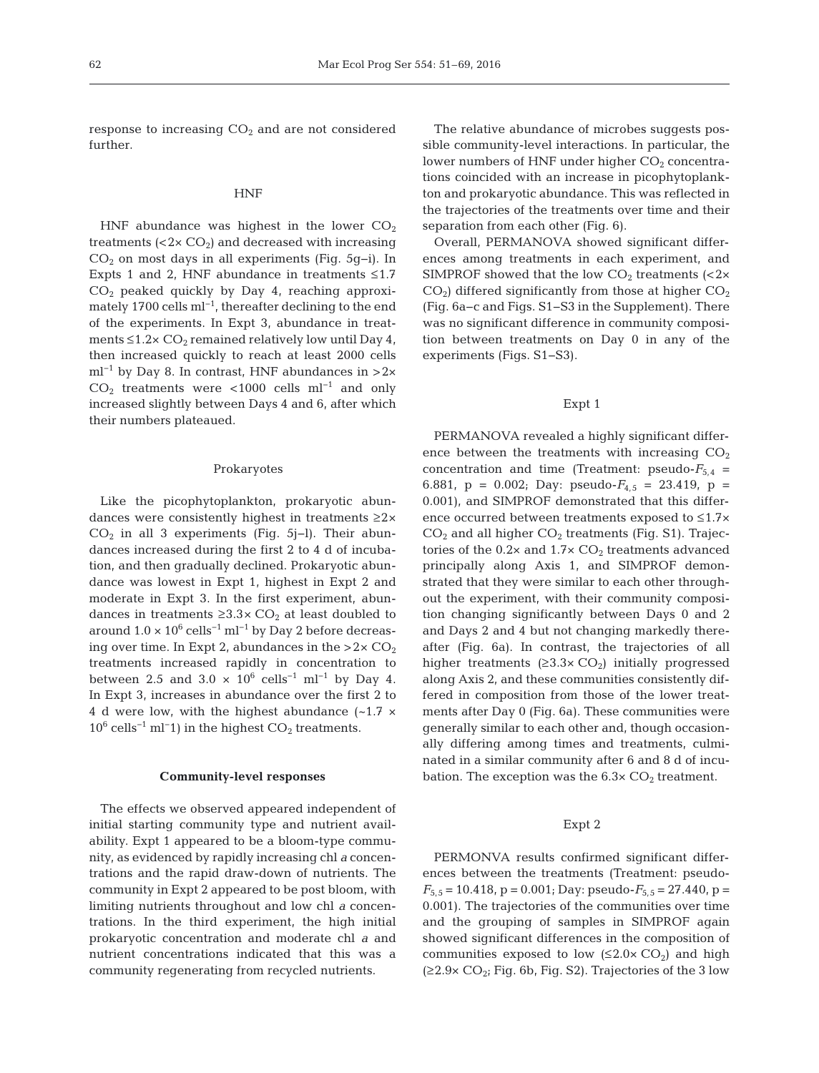response to increasing  $CO<sub>2</sub>$  and are not considered further.

#### HNF

HNF abundance was highest in the lower  $CO<sub>2</sub>$ treatments  $( $2 \times \text{CO}_2$ )$  and decreased with increasing CO2 on most days in all experiments (Fig. 5g−i). In Expts 1 and 2, HNF abundance in treatments  $\leq 1.7$  $CO<sub>2</sub>$  peaked quickly by Day 4, reaching approximately 1700 cells ml−1, thereafter declining to the end of the experiments. In Expt 3, abundance in treatments  $\leq 1.2 \times \mathrm{CO}_2$  remained relatively low until Day 4, then increased quickly to reach at least 2000 cells ml<sup>-1</sup> by Day 8. In contrast, HNF abundances in >2×  $CO<sub>2</sub>$  treatments were <1000 cells ml<sup>-1</sup> and only increased slightly between Days 4 and 6, after which their numbers plateaued.

#### Prokaryotes

Like the picophytoplankton, prokaryotic abundances were consistently highest in treatments ≥2×  $CO<sub>2</sub>$  in all 3 experiments (Fig. 5j–l). Their abundances increased during the first 2 to 4 d of incubation, and then gradually declined. Prokaryotic abundance was lowest in Expt 1, highest in Expt 2 and moderate in Expt 3. In the first experiment, abundances in treatments  $\geq 3.3 \times CO_2$  at least doubled to around  $1.0 \times 10^6$  cells<sup>-1</sup> ml<sup>-1</sup> by Day 2 before decreasing over time. In Expt 2, abundances in the  $>2\times$  CO<sub>2</sub> treatments increased rapidly in concentration to between 2.5 and 3.0  $\times$  10<sup>6</sup> cells<sup>-1</sup> ml<sup>-1</sup> by Day 4. In Expt 3, increases in abundance over the first 2 to 4 d were low, with the highest abundance  $(-1.7 \times$  $10^6$  cells<sup>-1</sup> ml<sup>−1</sup>) in the highest CO<sub>2</sub> treatments.

#### **Community-level responses**

The effects we observed appeared independent of initial starting community type and nutrient availability. Expt 1 appeared to be a bloom-type community, as evidenced by rapidly increasing chl *a* concentrations and the rapid draw-down of nutrients. The community in Expt 2 appeared to be post bloom, with limiting nutrients throughout and low chl *a* concentrations. In the third experiment, the high initial prokaryotic concentration and moderate chl *a* and nutrient concentrations indicated that this was a community regenerating from recycled nutrients.

The relative abundance of microbes suggests possible community-level interactions. In particular, the lower numbers of HNF under higher  $CO<sub>2</sub>$  concentrations coincided with an increase in picophytoplankton and prokaryotic abundance. This was reflected in the trajectories of the treatments over time and their separation from each other (Fig. 6).

Overall, PERMANOVA showed significant differences among treatments in each experiment, and SIMPROF showed that the low  $CO<sub>2</sub>$  treatments (<2×  $CO<sub>2</sub>$ ) differed significantly from those at higher  $CO<sub>2</sub>$ (Fig. 6a−c and Figs. S1−S3 in the Supplement). There was no significant difference in community composition between treatments on Day 0 in any of the experiments (Figs. S1−S3).

## Expt 1

PERMANOVA revealed a highly significant difference between the treatments with increasing  $CO<sub>2</sub>$ concentration and time (Treatment: pseudo- $F_{5,4}$  = 6.881,  $p = 0.002$ ; Day: pseudo- $F_{4,5} = 23.419$ ,  $p =$ 0.001), and SIMPROF demonstrated that this difference occurred between treatments exposed to ≤1.7×  $CO<sub>2</sub>$  and all higher  $CO<sub>2</sub>$  treatments (Fig. S1). Trajectories of the  $0.2 \times$  and  $1.7 \times$  CO<sub>2</sub> treatments advanced principally along Axis 1, and SIMPROF demonstrated that they were similar to each other throughout the experiment, with their community composition changing significantly between Days 0 and 2 and Days 2 and 4 but not changing markedly thereafter (Fig. 6a). In contrast, the trajectories of all higher treatments  $(≥3.3×CO<sub>2</sub>)$  initially progressed along Axis 2, and these communities consistently differed in composition from those of the lower treatments after Day 0 (Fig. 6a). These communities were generally similar to each other and, though occasionally differing among times and treatments, culminated in a similar community after 6 and 8 d of incubation. The exception was the  $6.3 \times CO<sub>2</sub>$  treatment.

#### Expt 2

PERMONVA results confirmed significant differences between the treatments (Treatment: pseudo- $F_{5.5}$  = 10.418, p = 0.001; Day: pseudo- $F_{5.5}$  = 27.440, p = 0.001). The trajectories of the communities over time and the grouping of samples in SIMPROF again showed significant differences in the composition of communities exposed to low  $(\leq 2.0 \times CO_2)$  and high  $(≥2.9× CO<sub>2</sub>; Fig. 6b, Fig. S2). Trajectories of the 3 low$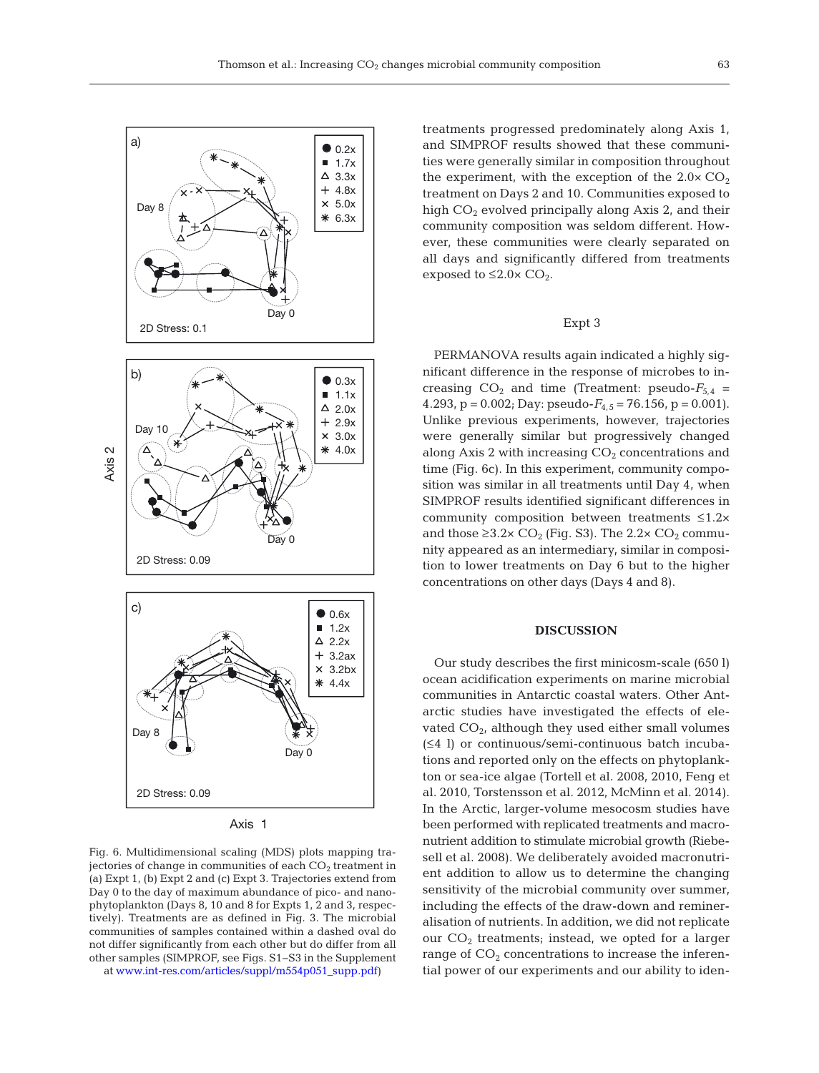

Axis 1

Fig. 6. Multidimensional scaling (MDS) plots mapping trajectories of change in communities of each  $CO<sub>2</sub>$  treatment in (a) Expt 1, (b) Expt 2 and (c) Expt 3. Trajectories extend from Day 0 to the day of maximum abundance of pico- and nanophytoplankton (Days 8, 10 and 8 for Expts 1, 2 and 3, respectively). Treatments are as defined in Fig. 3. The microbial communities of samples contained within a dashed oval do not differ significantly from each other but do differ from all other samples (SIMPROF, see Figs. S1−S3 in the Supplement at www.int-res.com/articles/suppl/m554p051\_supp.pdf)

treatments progressed predominately along Axis 1, and SIMPROF results showed that these communities were generally similar in composition throughout the experiment, with the exception of the  $2.0 \times CO<sub>2</sub>$ treatment on Days 2 and 10. Communities exposed to high  $CO<sub>2</sub>$  evolved principally along Axis 2, and their community composition was seldom different. However, these communities were clearly separated on all days and significantly differed from treatments exposed to  $\leq 2.0 \times CO_2$ .

## Expt 3

PERMANOVA results again indicated a highly significant difference in the response of microbes to increasing  $CO_2$  and time (Treatment: pseudo- $F_{5,4}$  = 4.293,  $p = 0.002$ ; Day: pseudo- $F_{4.5} = 76.156$ ,  $p = 0.001$ ). Unlike previous experiments, however, trajectories were generally similar but progressively changed along Axis 2 with increasing  $CO<sub>2</sub>$  concentrations and time (Fig. 6c). In this experiment, community composition was similar in all treatments until Day 4, when SIMPROF results identified significant differences in community composition between treatments ≤1.2× and those  $\geq$ 3.2× CO<sub>2</sub> (Fig. S3). The 2.2× CO<sub>2</sub> community appeared as an intermediary, similar in composition to lower treatments on Day 6 but to the higher concentrations on other days (Days 4 and 8).

### **DISCUSSION**

Our study describes the first minicosm-scale (650 l) ocean acidification experiments on marine microbial communities in Antarctic coastal waters. Other Antarctic studies have investigated the effects of elevated  $CO<sub>2</sub>$ , although they used either small volumes (≤4 l) or continuous/semi-continuous batch incubations and reported only on the effects on phytoplankton or sea-ice algae (Tortell et al. 2008, 2010, Feng et al. 2010, Torstensson et al. 2012, McMinn et al. 2014). In the Arctic, larger-volume mesocosm studies have been performed with replicated treatments and macronutrient addition to stimulate microbial growth (Riebe sell et al. 2008). We deliberately avoided macronutrient addition to allow us to determine the changing sensitivity of the microbial community over summer, including the effects of the draw-down and remineralisation of nutrients. In addition, we did not replicate our  $CO<sub>2</sub>$  treatments; instead, we opted for a larger range of  $CO<sub>2</sub>$  concentrations to increase the inferential power of our experiments and our ability to iden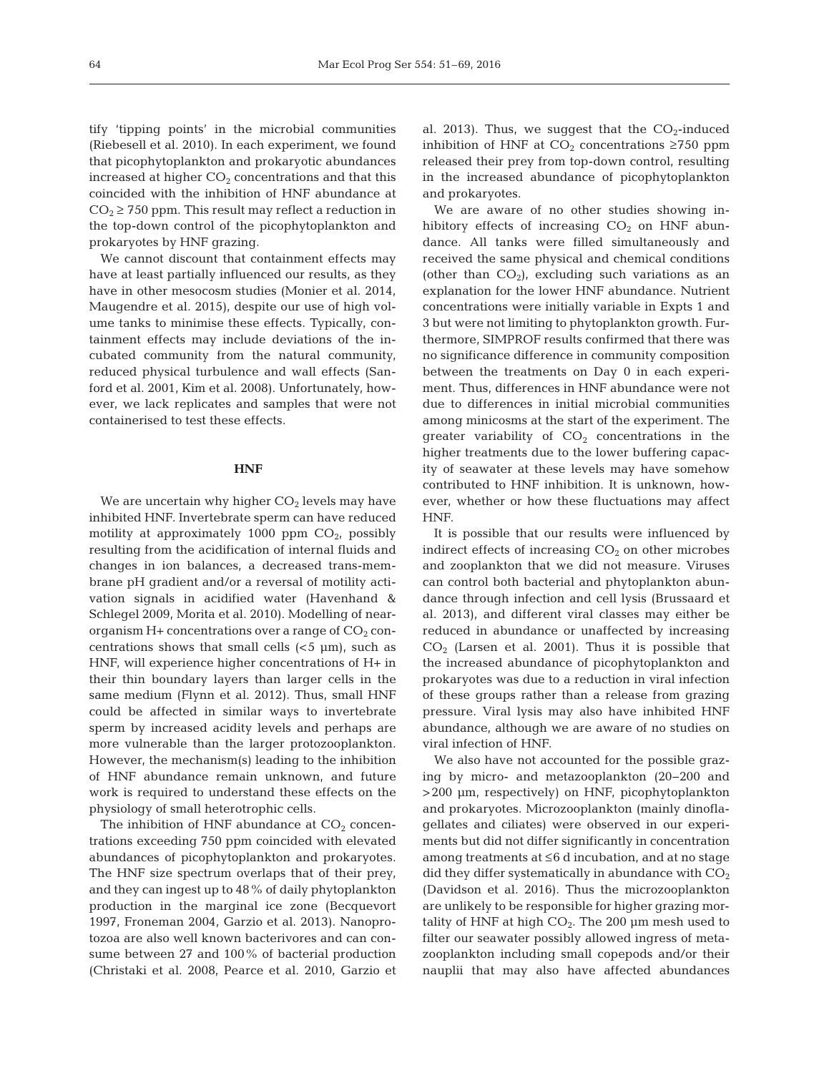tify 'tipping points' in the microbial communities (Riebesell et al. 2010). In each experiment, we found that picophytoplankton and prokaryotic abundances increased at higher  $CO<sub>2</sub>$  concentrations and that this coincided with the inhibition of HNF abundance at  $CO<sub>2</sub> \ge 750$  ppm. This result may reflect a reduction in the top-down control of the picophytoplankton and prokaryotes by HNF grazing.

We cannot discount that containment effects may have at least partially influenced our results, as they have in other mesocosm studies (Monier et al. 2014, Maugendre et al. 2015), despite our use of high volume tanks to minimise these effects. Typically, containment effects may include deviations of the in cubated community from the natural community, reduced physical turbulence and wall effects (Sanford et al. 2001, Kim et al. 2008). Unfortunately, however, we lack replicates and samples that were not containerised to test these effects.

#### **HNF**

We are uncertain why higher  $CO<sub>2</sub>$  levels may have inhibited HNF. Invertebrate sperm can have reduced motility at approximately 1000 ppm  $CO<sub>2</sub>$ , possibly resulting from the acidification of internal fluids and changes in ion balances, a decreased trans-membrane pH gradient and/or a reversal of motility activation signals in acidified water (Havenhand & Schlegel 2009, Morita et al. 2010). Modelling of nearorganism  $H+$  concentrations over a range of  $CO<sub>2</sub>$  concentrations shows that small cells  $\left($  <5  $\mu$ m $\right)$ , such as HNF, will experience higher concentrations of H+ in their thin boundary layers than larger cells in the same medium (Flynn et al. 2012). Thus, small HNF could be affected in similar ways to invertebrate sperm by increased acidity levels and perhaps are more vulnerable than the larger protozooplankton. However, the mechanism(s) leading to the inhibition of HNF abundance remain unknown, and future work is required to understand these effects on the physiology of small heterotrophic cells.

The inhibition of HNF abundance at  $CO<sub>2</sub>$  concentrations exceeding 750 ppm coincided with elevated abundances of picophytoplankton and prokaryotes. The HNF size spectrum overlaps that of their prey, and they can ingest up to 48% of daily phytoplankton production in the marginal ice zone (Becquevort 1997, Froneman 2004, Garzio et al. 2013). Nanoprotozoa are also well known bacterivores and can consume between 27 and 100% of bacterial production (Christaki et al. 2008, Pearce et al. 2010, Garzio et al. 2013). Thus, we suggest that the  $CO<sub>2</sub>$ -induced inhibition of HNF at  $CO<sub>2</sub>$  concentrations ≥750 ppm released their prey from top-down control, resulting in the increased abundance of picophytoplankton and prokaryotes.

We are aware of no other studies showing inhibitory effects of increasing  $CO<sub>2</sub>$  on HNF abundance. All tanks were filled simultaneously and received the same physical and chemical conditions (other than  $CO<sub>2</sub>$ ), excluding such variations as an explanation for the lower HNF abundance. Nutrient concentrations were initially variable in Expts 1 and 3 but were not limiting to phytoplankton growth. Furthermore, SIMPROF results confirmed that there was no significance difference in community composition between the treatments on Day 0 in each experiment. Thus, differences in HNF abundance were not due to differences in initial microbial communities among minicosms at the start of the experiment. The greater variability of  $CO<sub>2</sub>$  concentrations in the higher treatments due to the lower buffering capacity of seawater at these levels may have somehow contributed to HNF inhibition. It is unknown, however, whether or how these fluctuations may affect HNF.

It is possible that our results were influenced by indirect effects of increasing  $CO<sub>2</sub>$  on other microbes and zooplankton that we did not measure. Viruses can control both bacterial and phytoplankton abundance through infection and cell lysis (Brussaard et al. 2013), and different viral classes may either be reduced in abundance or unaffected by increasing  $CO<sub>2</sub>$  (Larsen et al. 2001). Thus it is possible that the increased abundance of picophytoplankton and prokaryotes was due to a reduction in viral infection of these groups rather than a release from grazing pressure. Viral lysis may also have inhibited HNF abundance, although we are aware of no studies on viral infection of HNF.

We also have not accounted for the possible grazing by micro- and metazooplankton (20−200 and >200 µm, respectively) on HNF, picophytoplankton and prokaryotes. Microzooplankton (mainly dinoflagellates and ciliates) were observed in our experiments but did not differ significantly in concentration among treatments at ≤6 d incubation, and at no stage did they differ systematically in abundance with  $CO<sub>2</sub>$ (Davidson et al. 2016). Thus the microzooplankton are unlikely to be responsible for higher grazing mortality of HNF at high  $CO<sub>2</sub>$ . The 200  $\mu$ m mesh used to filter our seawater possibly allowed ingress of metazooplankton including small copepods and/or their nauplii that may also have affected abundances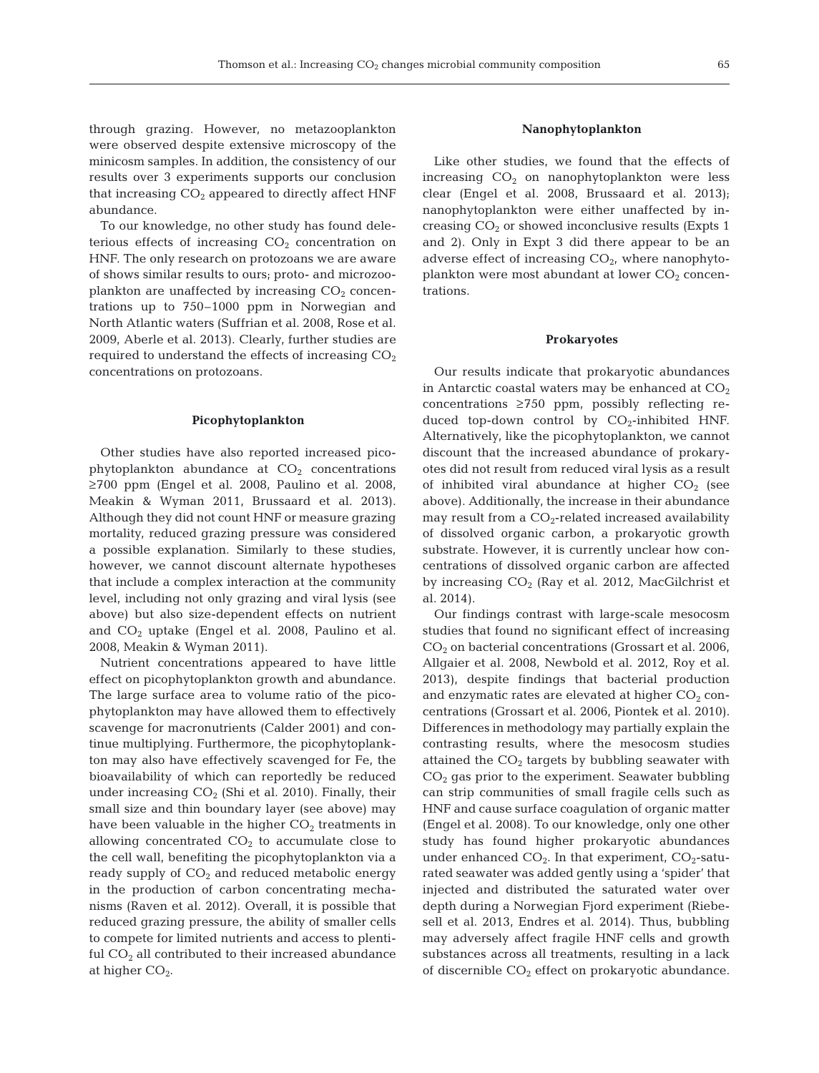through grazing. However, no metazooplankton were observed despite extensive microscopy of the minicosm samples. In addition, the consistency of our results over 3 experiments supports our conclusion that increasing  $CO<sub>2</sub>$  appeared to directly affect HNF abundance.

To our knowledge, no other study has found deleterious effects of increasing  $CO<sub>2</sub>$  concentration on HNF. The only research on protozoans we are aware of shows similar results to ours; proto- and microzooplankton are unaffected by increasing  $CO<sub>2</sub>$  concentrations up to 750–1000 ppm in Norwegian and North Atlantic waters (Suffrian et al. 2008, Rose et al. 2009, Aberle et al. 2013). Clearly, further studies are required to understand the effects of increasing  $CO<sub>2</sub>$ concentrations on protozoans.

#### **Picophytoplankton**

Other studies have also reported increased picophytoplankton abundance at  $CO<sub>2</sub>$  concentrations ≥700 ppm (Engel et al. 2008, Paulino et al. 2008, Meakin & Wyman 2011, Brussaard et al. 2013). Although they did not count HNF or measure grazing mortality, reduced grazing pressure was considered a possible explanation. Similarly to these studies, however, we cannot discount alternate hypotheses that include a complex interaction at the community level, including not only grazing and viral lysis (see above) but also size-dependent effects on nutrient and  $CO<sub>2</sub>$  uptake (Engel et al. 2008, Paulino et al. 2008, Meakin & Wyman 2011).

Nutrient concentrations appeared to have little effect on picophytoplankton growth and abundance. The large surface area to volume ratio of the picophytoplankton may have allowed them to effectively scavenge for macronutrients (Calder 2001) and continue multiplying. Furthermore, the picophytoplankton may also have effectively scavenged for Fe, the bioavailability of which can reportedly be reduced under increasing  $CO<sub>2</sub>$  (Shi et al. 2010). Finally, their small size and thin boundary layer (see above) may have been valuable in the higher  $CO<sub>2</sub>$  treatments in allowing concentrated  $CO<sub>2</sub>$  to accumulate close to the cell wall, benefiting the picophytoplankton via a ready supply of  $CO<sub>2</sub>$  and reduced metabolic energy in the production of carbon concentrating mechanisms (Raven et al. 2012). Overall, it is possible that reduced grazing pressure, the ability of smaller cells to compete for limited nutrients and access to plentiful  $CO<sub>2</sub>$  all contributed to their increased abundance at higher  $CO<sub>2</sub>$ .

#### **Nanophytoplankton**

Like other studies, we found that the effects of increasing  $CO<sub>2</sub>$  on nanophytoplankton were less clear (Engel et al. 2008, Brussaard et al. 2013); nanophytoplankton were either unaffected by increasing  $CO<sub>2</sub>$  or showed inconclusive results (Expts 1) and 2). Only in Expt 3 did there appear to be an adverse effect of increasing  $CO<sub>2</sub>$ , where nanophytoplankton were most abundant at lower  $CO<sub>2</sub>$  concentrations.

#### **Prokaryotes**

Our results indicate that prokaryotic abundances in Antarctic coastal waters may be enhanced at  $CO<sub>2</sub>$ concentrations ≥750 ppm, possibly reflecting re duced top-down control by  $CO<sub>2</sub>$ -inhibited HNF. Alternatively, like the picophytoplankton, we cannot discount that the increased abundance of prokaryotes did not result from reduced viral lysis as a result of inhibited viral abundance at higher  $CO<sub>2</sub>$  (see above). Additionally, the increase in their abundance may result from a  $CO_2$ -related increased availability of dissolved organic carbon, a prokaryotic growth substrate. However, it is currently unclear how concentrations of dissolved organic carbon are affected by increasing  $CO<sub>2</sub>$  (Ray et al. 2012, MacGilchrist et al. 2014).

Our findings contrast with large-scale mesocosm studies that found no significant effect of increasing  $CO<sub>2</sub>$  on bacterial concentrations (Grossart et al. 2006, Allgaier et al. 2008, Newbold et al. 2012, Roy et al. 2013), despite findings that bacterial production and enzymatic rates are elevated at higher  $CO<sub>2</sub>$  concentrations (Grossart et al. 2006, Piontek et al. 2010). Differences in methodology may partially explain the contrasting results, where the mesocosm studies attained the  $CO<sub>2</sub>$  targets by bubbling seawater with  $CO<sub>2</sub>$  gas prior to the experiment. Seawater bubbling can strip communities of small fragile cells such as HNF and cause surface coagulation of organic matter (Engel et al. 2008). To our knowledge, only one other study has found higher prokaryotic abundances under enhanced  $CO<sub>2</sub>$ . In that experiment,  $CO<sub>2</sub>$ -saturated seawater was added gently using a 'spider' that injected and distributed the saturated water over depth during a Norwegian Fjord experiment (Riebesell et al. 2013, Endres et al. 2014). Thus, bubbling may adversely affect fragile HNF cells and growth substances across all treatments, resulting in a lack of discernible  $CO<sub>2</sub>$  effect on prokaryotic abundance.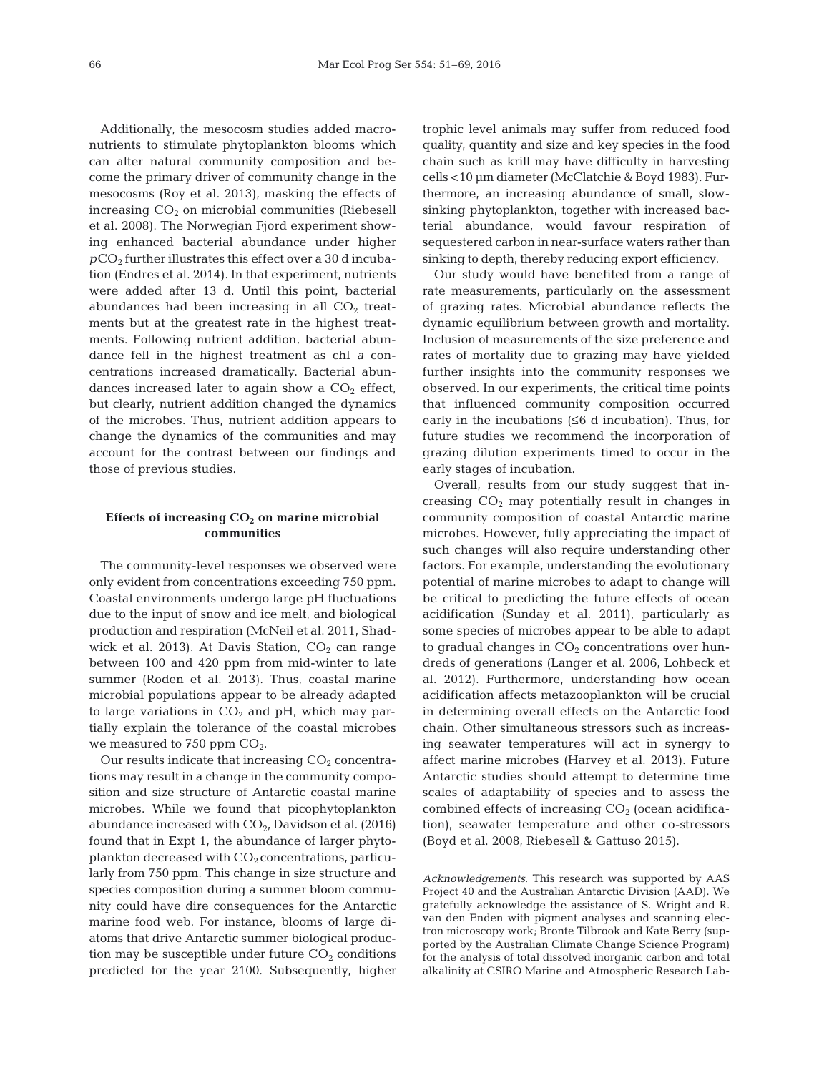Additionally, the mesocosm studies added macronutrients to stimulate phytoplankton blooms which can alter natural community composition and be come the primary driver of community change in the mesocosms (Roy et al. 2013), masking the effects of increasing  $CO<sub>2</sub>$  on microbial communities (Riebesell et al. 2008). The Norwegian Fjord experiment showing enhanced bacterial abundance under higher  $pCO<sub>2</sub>$  further illustrates this effect over a 30 d incubation (Endres et al. 2014). In that experiment, nutrients were added after 13 d. Until this point, bacterial abundances had been increasing in all  $CO<sub>2</sub>$  treatments but at the greatest rate in the highest treatments. Following nutrient addition, bacterial abundance fell in the highest treatment as chl *a* concentrations increased dramatically. Bacterial abundances increased later to again show a  $CO<sub>2</sub>$  effect, but clearly, nutrient addition changed the dynamics of the microbes. Thus, nutrient addition appears to change the dynamics of the communities and may account for the contrast between our findings and those of previous studies.

# Effects of increasing CO<sub>2</sub> on marine microbial **communities**

The community-level responses we observed were only evident from concentrations exceeding 750 ppm. Coastal environments undergo large pH fluctuations due to the input of snow and ice melt, and biological production and respiration (McNeil et al. 2011, Shadwick et al. 2013). At Davis Station,  $CO<sub>2</sub>$  can range between 100 and 420 ppm from mid-winter to late summer (Roden et al. 2013). Thus, coastal marine microbial populations appear to be already adapted to large variations in  $CO<sub>2</sub>$  and pH, which may partially explain the tolerance of the coastal microbes we measured to 750 ppm  $CO<sub>2</sub>$ .

Our results indicate that increasing  $CO<sub>2</sub>$  concentrations may result in a change in the community composition and size structure of Antarctic coastal marine microbes. While we found that picophytoplankton abundance increased with  $CO<sub>2</sub>$ , Davidson et al. (2016) found that in Expt 1, the abundance of larger phytoplankton decreased with  $CO<sub>2</sub>$  concentrations, particularly from 750 ppm. This change in size structure and species composition during a summer bloom community could have dire consequences for the Antarctic marine food web. For instance, blooms of large diatoms that drive Antarctic summer biological production may be susceptible under future  $CO<sub>2</sub>$  conditions predicted for the year 2100. Subsequently, higher trophic level animals may suffer from reduced food quality, quantity and size and key species in the food chain such as krill may have difficulty in harvesting cells <10 µm diameter (McClatchie & Boyd 1983). Furthermore, an increasing abundance of small, slowsinking phytoplankton, together with increased bacterial abundance, would favour respiration of sequestered carbon in near-surface waters rather than sinking to depth, thereby reducing export efficiency.

Our study would have benefited from a range of rate measurements, particularly on the assessment of grazing rates. Microbial abundance reflects the dynamic equilibrium between growth and mortality. Inclusion of measurements of the size preference and rates of mortality due to grazing may have yielded further insights into the community responses we observed. In our experiments, the critical time points that influenced community composition occurred early in the incubations  $(≤6$  d incubation). Thus, for future studies we recommend the incorporation of grazing dilution experiments timed to occur in the early stages of incubation.

Overall, results from our study suggest that increasing  $CO<sub>2</sub>$  may potentially result in changes in community composition of coastal Antarctic marine microbes. However, fully appreciating the impact of such changes will also require understanding other factors. For example, understanding the evolutionary potential of marine microbes to adapt to change will be critical to predicting the future effects of ocean acidification (Sunday et al. 2011), particularly as some species of microbes appear to be able to adapt to gradual changes in  $CO<sub>2</sub>$  concentrations over hundreds of generations (Langer et al. 2006, Lohbeck et al. 2012). Furthermore, understanding how ocean acidification affects metazooplankton will be crucial in determining overall effects on the Antarctic food chain. Other simultaneous stressors such as increasing seawater temperatures will act in synergy to affect marine microbes (Harvey et al. 2013). Future Antarctic studies should attempt to determine time scales of adaptability of species and to assess the combined effects of increasing  $CO<sub>2</sub>$  (ocean acidification), seawater temperature and other co-stressors (Boyd et al. 2008, Riebesell & Gattuso 2015).

*Acknowledgements*. This research was supported by AAS Project 40 and the Australian Antarctic Division (AAD). We gratefully acknowledge the assistance of S. Wright and R. van den Enden with pigment analyses and scanning electron microscopy work; Bronte Tilbrook and Kate Berry (supported by the Australian Climate Change Science Program) for the analysis of total dissolved inorganic carbon and total alkalinity at CSIRO Marine and Atmospheric Research Lab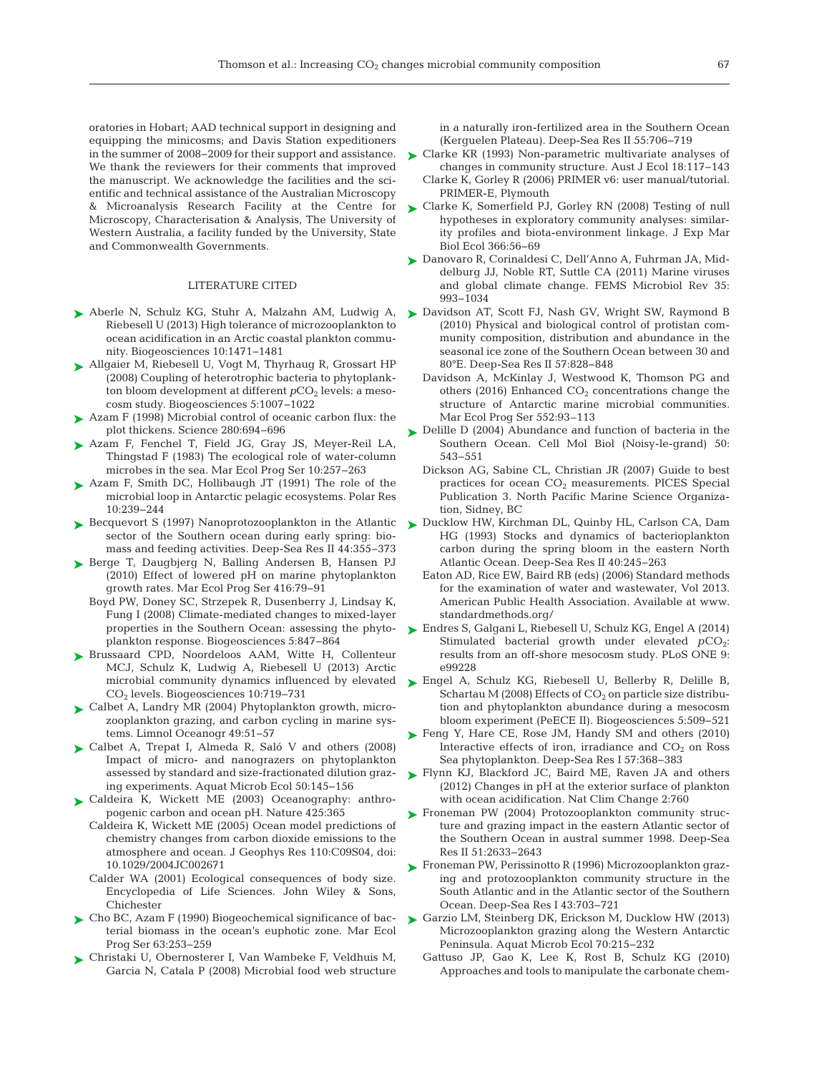oratories in Hobart; AAD technical support in designing and equipping the minicosms; and Davis Station expeditioners in the summer of 2008−2009 for their support and assistance. We thank the reviewers for their comments that improved the manuscript. We acknowledge the facilities and the scientific and technical assistance of the Australian Microscopy & Microanalysis Research Facility at the Centre for Microscopy, Characterisation & Analysis, The University of Western Australia, a facility funded by the University, State and Commonwealth Governments.

## LITERATURE CITED

- ▶ [Aberle N, Schulz KG, Stuhr A, Malzahn AM, Ludwig A,](http://dx.doi.org/10.5194/bg-10-1471-2013) ▶ [Davidson AT, Scott FJ, Nash GV, Wright SW, Raymond B](http://dx.doi.org/10.1016/j.dsr2.2009.02.011) Riebesell U (2013) High tolerance of microzooplankton to ocean acidification in an Arctic coastal plankton community. Biogeosciences 10: 1471−1481
- [Allgaier M, Riebesell U, Vogt M, Thyrhaug R, Grossart HP](http://dx.doi.org/10.5194/bg-5-1007-2008) ➤ (2008) Coupling of heterotrophic bacteria to phytoplankton bloom development at different  $pCO<sub>2</sub>$  levels: a mesocosm study. Biogeosciences 5: 1007−1022
- ▶ Azam F (1998) Microbial control of oceanic carbon flux: the plot thickens. Science 280:694-696
- [Azam F, Fenchel T, Field JG, Gray JS, Meyer-Reil LA,](http://dx.doi.org/10.3354/meps010257) ➤ Thingstad F (1983) The ecological role of water-column microbes in the sea. Mar Ecol Prog Ser 10:257-263
- [Azam F, Smith DC, Hollibaugh JT \(1991\) The role of the](http://dx.doi.org/10.1111/j.1751-8369.1991.tb00649.x) ➤ microbial loop in Antarctic pelagic ecosystems. Polar Res 10: 239−244
- ► [Becquevort S \(1997\) Nanoprotozooplankton in the Atlantic](http://dx.doi.org/10.1016/S0967-0645(96)00076-8) sector of the Southern ocean during early spring: biomass and feeding activities. Deep-Sea Res II 44:355-373
- ▶ [Berge T, Daugbjerg N, Balling Andersen B, Hansen PJ](http://dx.doi.org/10.3354/meps08780) (2010) Effect of lowered pH on marine phytoplankton growth rates. Mar Ecol Prog Ser 416:79-91
	- [Boyd PW, Doney SC, Strzepek R, Dusenberry J, Lindsay K,](http://dx.doi.org/10.5194/bg-5-847-2008) Fung I (2008) Climate-mediated changes to mixed-layer properties in the Southern Ocean: assessing the phytoplankton response. Biogeosciences 5: 847−864
- ▶ [Brussaard CPD, Noordeloos AAM, Witte H, Collenteur](http://dx.doi.org/10.5194/bg-10-719-2013) MCJ, Schulz K, Ludwig A, Riebesell U (2013) Arctic microbial community dynamics influenced by elevated CO2 levels. Biogeosciences 10: 719−731
- ► [Calbet A, Landry MR \(2004\) Phytoplankton growth, micro](http://dx.doi.org/10.4319/lo.2004.49.1.0051)zooplankton grazing, and carbon cycling in marine systems. Limnol Oceanogr 49:51–57
- ▶ [Calbet A, Trepat I, Almeda R, Saló V and others \(2008\)](http://dx.doi.org/10.3354/ame01171) Impact of micro- and nanograzers on phytoplankton assessed by standard and size-fractionated dilution grazing experiments. Aquat Microb Ecol 50: 145−156
- ▶ [Caldeira K, Wickett ME \(2003\) Oceanography: anthro](http://dx.doi.org/10.1038/425365a)pogenic carbon and ocean pH. Nature 425:365
	- Caldeira K, Wickett ME (2005) Ocean model predictions of chemistry changes from carbon dioxide emissions to the atmosphere and ocean. J Geophys Res 110: C09S04, doi: 10.1029/2004JC002671
	- Calder WA (2001) Ecological consequences of body size. Encyclopedia of Life Sciences. John Wiley & Sons, Chichester
- ► [Cho BC, Azam F \(1990\) Biogeochemical significance of bac](http://dx.doi.org/10.3354/meps063253)terial biomass in the ocean's euphotic zone. Mar Ecol Prog Ser 63:253-259
- [Christaki U, Obernosterer I, Van Wambeke F, Veldhuis M,](http://dx.doi.org/10.1016/j.dsr2.2007.12.009) ➤ Garcia N, Catala P (2008) Microbial food web structure

in a naturally iron-fertilized area in the Southern Ocean (Kerguelen Plateau). Deep-Sea Res II 55: 706−719

- ► [Clarke KR \(1993\) Non-parametric multivariate analyses of](http://dx.doi.org/10.1111/j.1442-9993.1993.tb00438.x) changes in community structure. Aust J Ecol 18: 117−143 Clarke K, Gorley R (2006) PRIMER v6: user manual/tutorial.
- PRIMER-E, Plymouth ► [Clarke K, Somerfield PJ, Gorley RN \(2008\) Testing of null](http://dx.doi.org/10.1016/j.jembe.2008.07.009) hypotheses in exploratory community analyses: similarity profiles and biota-environment linkage. J Exp Mar
- Biol Ecol 366:56-69 [Danovaro R, Corinaldesi C, Dell'Anno A, Fuhrman JA, Mid-](http://dx.doi.org/10.1111/j.1574-6976.2010.00258.x)➤ delburg JJ, Noble RT, Suttle CA (2011) Marine viruses and global climate change. FEMS Microbiol Rev 35: 993−1034
- (2010) Physical and biological control of protistan community composition, distribution and abundance in the seasonal ice zone of the Southern Ocean between 30 and 80°E. Deep-Sea Res II 57:828-848
- Davidson A, McKinlay J, Westwood K, Thomson PG and others (2016) Enhanced  $CO<sub>2</sub>$  concentrations change the structure of Antarctic marine microbial communities. Mar Ecol Prog Ser 552:93–113
- ▶ [Delille D \(2004\) Abundance and function of bacteria in the](http://www.ncbi.nlm.nih.gov/entrez/query.fcgi?cmd=Retrieve&db=PubMed&list_uids=15559971&dopt=Abstract) Southern Ocean. Cell Mol Biol (Noisy-le-grand) 50: 543−551
	- Dickson AG, Sabine CL, Christian JR (2007) Guide to best practices for ocean  $CO<sub>2</sub>$  measurements. PICES Special Publication 3. North Pacific Marine Science Organization, Sidney, BC
- ▶ [Ducklow HW, Kirchman DL, Quinby HL, Carlson CA, Dam](http://dx.doi.org/10.1016/0967-0645(93)90016-G) HG (1993) Stocks and dynamics of bacterioplankton carbon during the spring bloom in the eastern North Atlantic Ocean. Deep-Sea Res II 40:245-263
	- Eaton AD, Rice EW, Baird RB (eds) (2006) Standard methods for the examination of water and wastewater, Vol 2013. American Public Health Association. Available at www. standardmethods.org/
- [Endres S, Galgani L, Riebesell U, Schulz KG, Engel A \(2014\)](http://dx.doi.org/10.1371/journal.pone.0099228) ➤ Stimulated bacterial growth under elevated  $pCO_2$ : results from an off-shore mesocosm study. PLoS ONE 9: e99228
- ▶ [Engel A, Schulz KG, Riebesell U, Bellerby R, Delille B,](http://dx.doi.org/10.5194/bg-5-509-2008) Schartau M (2008) Effects of  $CO<sub>2</sub>$  on particle size distribution and phytoplankton abundance during a mesocosm bloom experiment (PeECE II). Biogeosciences 5: 509−521
- ▶ [Feng Y, Hare CE, Rose JM, Handy SM and others \(2010\)](http://dx.doi.org/10.1016/j.dsr.2009.10.013) Interactive effects of iron, irradiance and  $CO<sub>2</sub>$  on Ross Sea phytoplankton. Deep-Sea Res I 57: 368−383
- ▶ [Flynn KJ, Blackford JC, Baird ME, Raven JA and others](http://dx.doi.org/10.1038/nclimate1696) (2012) Changes in pH at the exterior surface of plankton with ocean acidification. Nat Clim Change 2:760
- ▶ [Froneman PW \(2004\) Protozooplankton community struc](http://dx.doi.org/10.1016/j.dsr2.2004.09.001)ture and grazing impact in the eastern Atlantic sector of the Southern Ocean in austral summer 1998. Deep-Sea Res II 51:2633-2643
- ► [Froneman PW, Perissinotto R \(1996\) Microzooplankton graz](http://dx.doi.org/10.1016/0967-0637(96)00010-6)ing and protozooplankton community structure in the South Atlantic and in the Atlantic sector of the Southern Ocean. Deep-Sea Res I 43: 703−721
- ▶ [Garzio LM, Steinberg DK, Erickson M, Ducklow HW \(2013\)](http://dx.doi.org/10.3354/ame01655) Microzooplankton grazing along the Western Antarctic Peninsula. Aquat Microb Ecol 70:215−232
	- Gattuso JP, Gao K, Lee K, Rost B, Schulz KG (2010) Approaches and tools to manipulate the carbonate chem-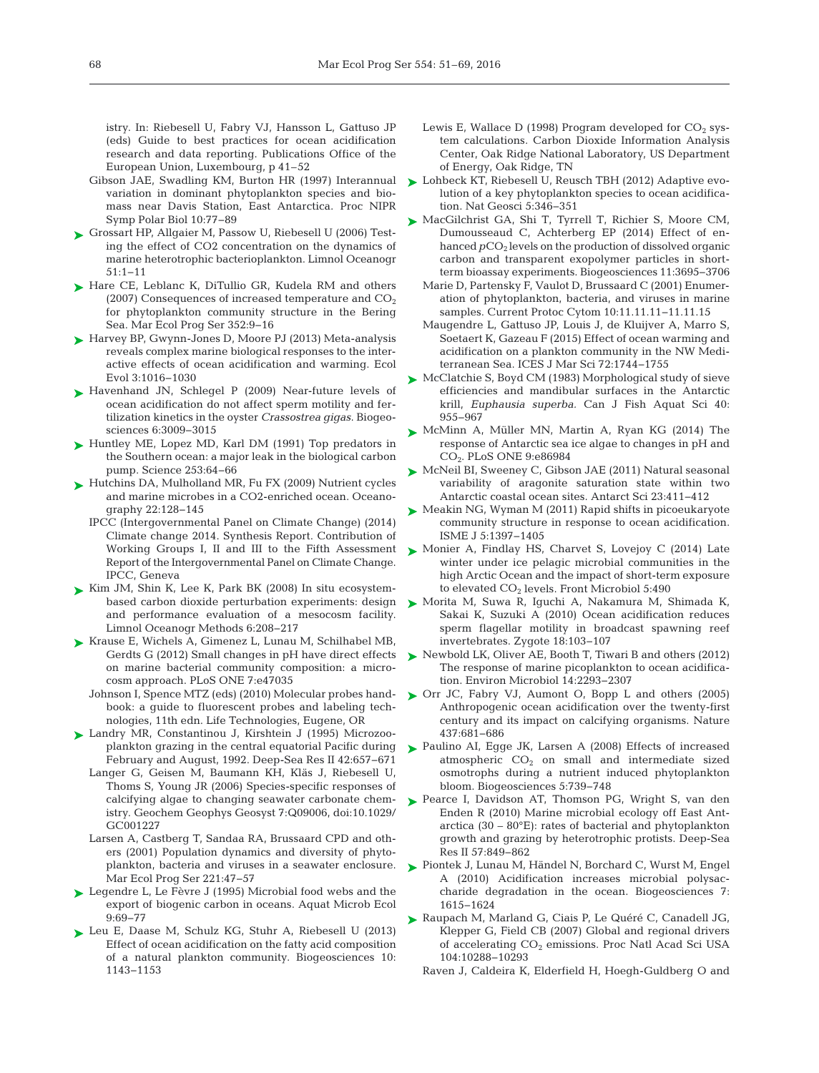istry. In: Riebesell U, Fabry VJ, Hansson L, Gattuso JP (eds) Guide to best practices for ocean acidification research and data reporting. Publications Office of the European Union, Luxembourg, p 41–52

- Gibson JAE, Swadling KM, Burton HR (1997) Interannual variation in dominant phytoplankton species and biomass near Davis Station, East Antarctica. Proc NIPR Symp Polar Biol 10:77-89
- ► [Grossart HP, Allgaier M, Passow U, Riebesell U \(2006\) Test](http://dx.doi.org/10.4319/lo.2006.51.1.0001)ing the effect of CO2 concentration on the dynamics of marine heterotrophic bacterioplankton. Limnol Oceanogr 51: 1−11
- ► [Hare CE, Leblanc K, DiTullio GR, Kudela RM and others](http://dx.doi.org/10.3354/meps07182) (2007) Consequences of increased temperature and  $CO<sub>2</sub>$ for phytoplankton community structure in the Bering Sea. Mar Ecol Prog Ser 352:9-16
- ► [Harvey BP, Gwynn-Jones D, Moore PJ \(2013\) Meta-analysis](http://dx.doi.org/10.1002/ece3.516) reveals complex marine biological responses to the interactive effects of ocean acidification and warming. Ecol Evol 3: 1016−1030
- ▶ [Havenhand JN, Schlegel P \(2009\) Near-future levels of](http://dx.doi.org/10.5194/bg-6-3009-2009) ocean acidification do not affect sperm motility and fer tilization kinetics in the oyster *Crassostrea gigas*. Biogeosciences 6: 3009−3015
- ► [Huntley ME, Lopez MD, Karl DM \(1991\) Top predators in](http://dx.doi.org/10.1126/science.1905841) the Southern ocean: a major leak in the biological carbon pump. Science 253:64-66
- ► [Hutchins DA, Mulholland MR, Fu FX \(2009\) Nutrient cycles](http://dx.doi.org/10.5670/oceanog.2009.103) and marine microbes in a CO2-enriched ocean. Oceano graphy 22: 128−145
	- IPCC (Intergovernmental Panel on Climate Change) (2014) Climate change 2014. Synthesis Report. Contribution of Working Groups I, II and III to the Fifth Assessment Report of the Intergovernmental Panel on Climate Change. IPCC, Geneva
- ► [Kim JM, Shin K, Lee K, Park BK \(2008\) In situ ecosystem](http://dx.doi.org/10.4319/lom.2008.6.208)based carbon dioxide perturbation experiments: design and performance evaluation of a mesocosm facility. Limnol Oceanogr Methods 6: 208−217
- ► [Krause E, Wichels A, Gimenez L, Lunau M, Schilhabel MB,](http://dx.doi.org/10.1371/journal.pone.0047035) Gerdts G (2012) Small changes in pH have direct effects on marine bacterial community composition: a microcosm approach. PLoS ONE 7: e47035
	- Johnson I, Spence MTZ (eds) (2010) Molecular probes handbook: a guide to fluorescent probes and labeling technologies, 11th edn. Life Technologies, Eugene, OR
- ▶ [Landry MR, Constantinou J, Kirshtein J \(1995\) Microzoo](http://dx.doi.org/10.1016/0967-0645(95)00024-K)plankton grazing in the central equatorial Pacific during February and August, 1992. Deep-Sea Res II 42:657-671
	- Langer G, Geisen M, Baumann KH, Kläs J, Riebesell U, Thoms S, Young JR (2006) Species-specific responses of calcifying algae to changing seawater carbonate chemistry. Geochem Geophys Geosyst 7: Q09006, doi:10.1029/ GC001227
	- Larsen A, Castberg T, Sandaa RA, Brussaard CPD and others (2001) Population dynamics and diversity of phytoplankton, bacteria and viruses in a seawater enclosure. Mar Ecol Prog Ser 221:47-57
- ► [Legendre L, Le Fèvre J \(1995\) Microbial food webs and the](http://dx.doi.org/10.3354/ame009069) export of biogenic carbon in oceans. Aquat Microb Ecol 9: 69−77
- ▶ [Leu E, Daase M, Schulz KG, Stuhr A, Riebesell U \(2013\)](http://dx.doi.org/10.5194/bg-10-1143-2013) Effect of ocean acidification on the fatty acid composition of a natural plankton community. Biogeosciences 10: 1143−1153
- Lewis E, Wallace D (1998) Program developed for  $CO<sub>2</sub>$  system calculations. Carbon Dioxide Information Analysis Center, Oak Ridge National Laboratory, US Department of Energy, Oak Ridge, TN
- ► [Lohbeck KT, Riebesell U, Reusch TBH \(2012\) Adaptive evo](http://dx.doi.org/10.1038/ngeo1441)lution of a key phytoplankton species to ocean acidification. Nat Geosci 5: 346−351
- ► [MacGilchrist GA, Shi T, Tyrrell T, Richier S, Moore CM,](http://dx.doi.org/10.5194/bg-11-3695-2014) Dumousseaud C, Achterberg EP (2014) Effect of enhanced  $pCO<sub>2</sub>$  levels on the production of dissolved organic carbon and transparent exopolymer particles in shortterm bioassay experiments. Biogeosciences 11: 3695−3706
	- Marie D, Partensky F, Vaulot D, Brussaard C (2001) Enumeration of phytoplankton, bacteria, and viruses in marine samples. Current Protoc Cytom 10:11.11.11-11.11.15
	- Maugendre L, Gattuso JP, Louis J, de Kluijver A, Marro S, Soetaert K, Gazeau F (2015) Effect of ocean warming and acidification on a plankton community in the NW Mediterranean Sea. ICES J Mar Sci 72: 1744−1755
- ► [McClatchie S, Boyd CM \(1983\) Morphological study of sieve](http://dx.doi.org/10.1139/f83-122) efficiencies and mandibular surfaces in the Antarctic krill, *Euphausia superba.* Can J Fish Aquat Sci 40: 955−967
- ▶ [McMinn A, Müller MN, Martin A, Ryan KG \(2014\) The](http://dx.doi.org/10.1371/journal.pone.0086984) response of Antarctic sea ice algae to changes in pH and CO<sub>2</sub>. PLoS ONE 9:e86984
- ► [McNeil BI, Sweeney C, Gibson JAE \(2011\) Natural seasonal](http://dx.doi.org/10.1017/S0954102011000204) variability of aragonite saturation state within two Antarctic coastal ocean sites. Antarct Sci 23:411−412
- ► [Meakin NG, Wyman M \(2011\) Rapid shifts in picoeukaryote](http://dx.doi.org/10.1038/ismej.2011.18) community structure in response to ocean acidification. ISME J 5: 1397−1405
- ► [Monier A, Findlay HS, Charvet S, Lovejoy C \(2014\) Late](http://dx.doi.org/10.3389/fmicb.2014.00490) winter under ice pelagic microbial communities in the high Arctic Ocean and the impact of short-term exposure to elevated  $CO<sub>2</sub>$  levels. Front Microbiol 5:490
- [Morita M, Suwa R, Iguchi A, Nakamura M, Shimada K,](http://dx.doi.org/10.1017/S0967199409990177) ➤ Sakai K, Suzuki A (2010) Ocean acidification reduces sperm flagellar motility in broadcast spawning reef invertebrates. Zygote 18: 103−107
- ▶ [Newbold LK, Oliver AE, Booth T, Tiwari B and others \(2012\)](http://dx.doi.org/10.1111/j.1462-2920.2012.02762.x) The response of marine picoplankton to ocean acidification. Environ Microbiol 14: 2293−2307
- ▶ [Orr JC, Fabry VJ, Aumont O, Bopp L and others \(2005\)](http://dx.doi.org/10.1038/nature04095) Anthropogenic ocean acidification over the twenty-first century and its impact on calcifying organisms. Nature 437: 681−686
- ▶ [Paulino AI, Egge JK, Larsen A \(2008\) Effects of increased](http://dx.doi.org/10.5194/bg-5-739-2008) atmospheric  $CO<sub>2</sub>$  on small and intermediate sized osmotrophs during a nutrient induced phytoplankton bloom. Biogeosciences 5: 739−748
- ▶ [Pearce I, Davidson AT, Thomson PG, Wright S, van den](http://dx.doi.org/10.1016/j.dsr2.2008.04.039) Enden R (2010) Marine microbial ecology off East Antarctica (30 – 80°E): rates of bacterial and phytoplankton growth and grazing by heterotrophic protists. Deep-Sea Res II 57:849-862
- ▶ [Piontek J, Lunau M, Händel N, Borchard C, Wurst M, Engel](http://dx.doi.org/10.5194/bg-7-1615-2010) A (2010) Acidification increases microbial polysaccharide degradation in the ocean. Biogeosciences 7: 1615−1624
- ▶ [Raupach M, Marland G, Ciais P, Le Quéré C, Canadell JG,](http://dx.doi.org/10.1073/pnas.0700609104) Klepper G, Field CB (2007) Global and regional drivers of accelerating CO<sub>2</sub> emissions. Proc Natl Acad Sci USA 104: 10288−10293
	- Raven J, Caldeira K, Elderfield H, Hoegh-Guldberg O and